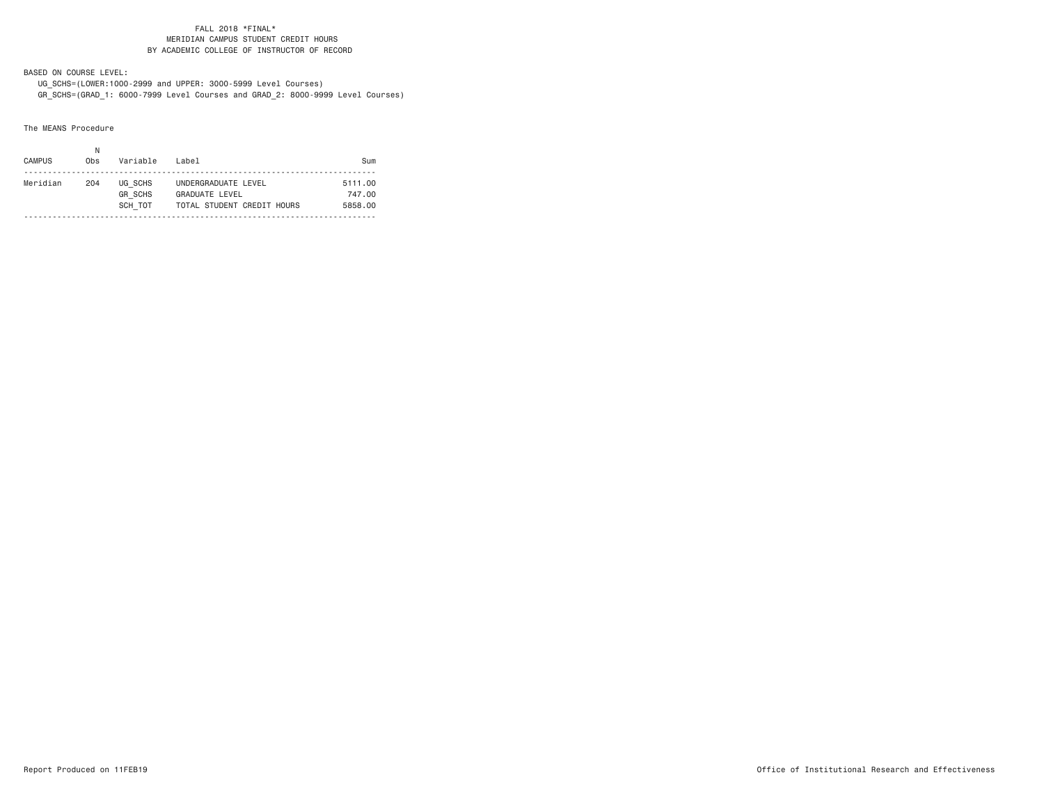#### FALL 2018 \*FINAL\* MERIDIAN CAMPUS STUDENT CREDIT HOURSBY ACADEMIC COLLEGE OF INSTRUCTOR OF RECORD

BASED ON COURSE LEVEL:

 UG\_SCHS=(LOWER:1000-2999 and UPPER: 3000-5999 Level Courses) GR\_SCHS=(GRAD\_1: 6000-7999 Level Courses and GRAD\_2: 8000-9999 Level Courses)

The MEANS Procedure

| <b>CAMPUS</b> | 0 <sub>bs</sub> | Variable                  | Label                                        | Sum               |
|---------------|-----------------|---------------------------|----------------------------------------------|-------------------|
| Meridian      | 204             | UG SCHS<br><b>GR SCHS</b> | UNDERGRADUATE LEVEL<br><b>GRADUATE LEVEL</b> | 5111.00<br>747.00 |
|               |                 | SCH TOT                   | TOTAL STUDENT CREDIT HOURS                   | 5858.00           |
|               |                 |                           |                                              |                   |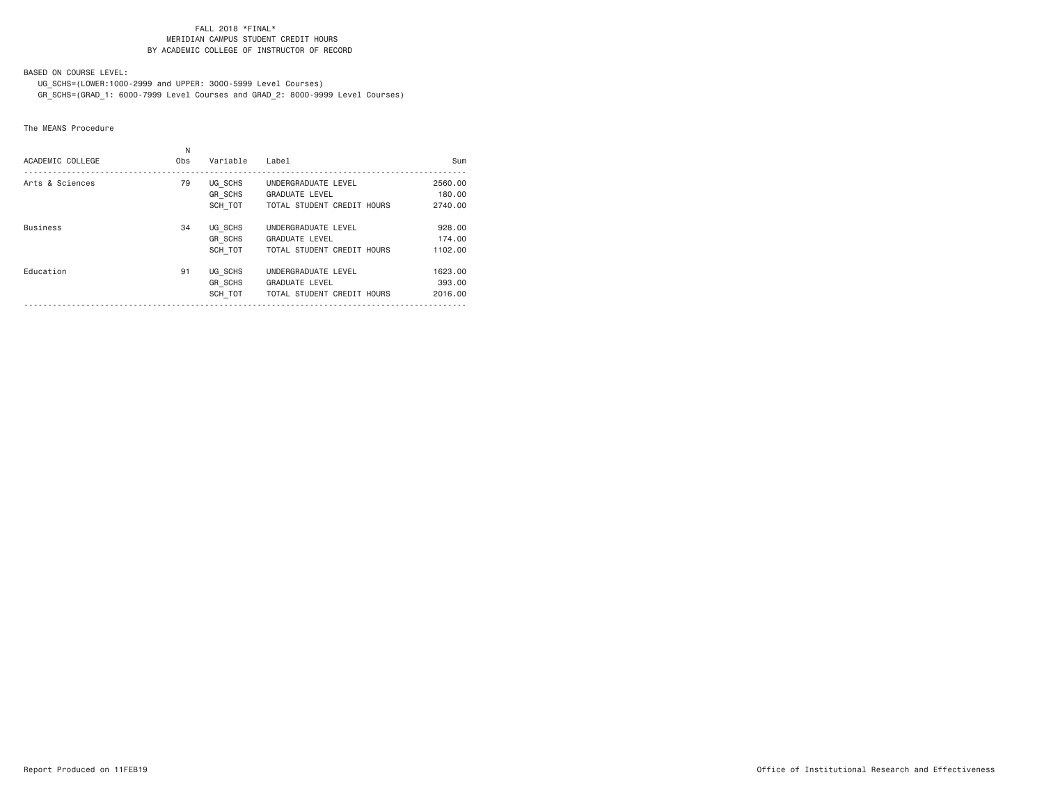#### FALL 2018 \*FINAL\* MERIDIAN CAMPUS STUDENT CREDIT HOURSBY ACADEMIC COLLEGE OF INSTRUCTOR OF RECORD

BASED ON COURSE LEVEL:

 UG\_SCHS=(LOWER:1000-2999 and UPPER: 3000-5999 Level Courses) GR\_SCHS=(GRAD\_1: 6000-7999 Level Courses and GRAD\_2: 8000-9999 Level Courses)

The MEANS Procedure

| ACADEMIC COLLEGE | Ν<br>Obs | Variable                             | Label                                                                      | Sum                          |
|------------------|----------|--------------------------------------|----------------------------------------------------------------------------|------------------------------|
| Arts & Sciences  | 79       | UG SCHS<br>GR SCHS<br>SCH TOT        | UNDERGRADUATE LEVEL<br><b>GRADUATE LEVEL</b><br>TOTAL STUDENT CREDIT HOURS | 2560,00<br>180,00<br>2740.00 |
| <b>Business</b>  | 34       | UG SCHS<br><b>GR SCHS</b><br>SCH TOT | UNDERGRADUATE LEVEL<br><b>GRADUATE LEVEL</b><br>TOTAL STUDENT CREDIT HOURS | 928,00<br>174.00<br>1102.00  |
| Education        | 91       | UG SCHS<br>GR SCHS<br>SCH TOT        | UNDERGRADUATE LEVEL<br><b>GRADUATE LEVEL</b><br>TOTAL STUDENT CREDIT HOURS | 1623.00<br>393,00<br>2016,00 |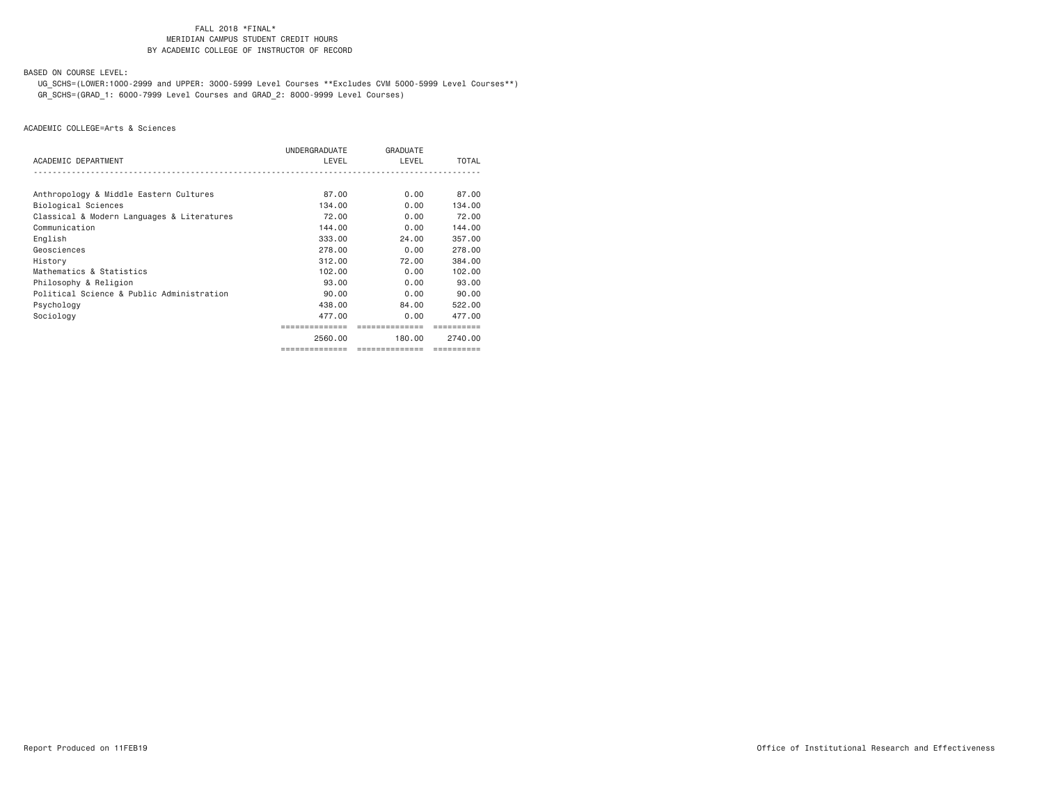### FALL 2018 \*FINAL\***MERIDIAN CAMPUS STUDENT CREDIT HOURS** BY ACADEMIC COLLEGE OF INSTRUCTOR OF RECORD

BASED ON COURSE LEVEL:

 UG\_SCHS=(LOWER:1000-2999 and UPPER: 3000-5999 Level Courses \*\*Excludes CVM 5000-5999 Level Courses\*\*) GR\_SCHS=(GRAD\_1: 6000-7999 Level Courses and GRAD\_2: 8000-9999 Level Courses)

|                                            | UNDERGRADUATE  | GRADUATE       |            |
|--------------------------------------------|----------------|----------------|------------|
| ACADEMIC DEPARTMENT                        | LEVEL          | LEVEL          | TOTAL      |
|                                            |                |                |            |
| Anthropology & Middle Eastern Cultures     | 87.00          | 0.00           | 87.00      |
| Biological Sciences                        | 134.00         | 0.00           | 134,00     |
| Classical & Modern Languages & Literatures | 72.00          | 0.00           | 72.00      |
| Communication                              | 144.00         | 0.00           | 144,00     |
| English                                    | 333,00         | 24.00          | 357.00     |
| Geosciences                                | 278,00         | 0.00           | 278,00     |
| History                                    | 312.00         | 72.00          | 384.00     |
| Mathematics & Statistics                   | 102,00         | 0.00           | 102,00     |
| Philosophy & Religion                      | 93.00          | 0.00           | 93.00      |
| Political Science & Public Administration  | 90.00          | 0.00           | 90.00      |
| Psychology                                 | 438,00         | 84,00          | 522.00     |
| Sociology                                  | 477.00         | 0.00           | 477.00     |
|                                            |                | -------------- |            |
|                                            | 2560.00        | 180.00         | 2740.00    |
|                                            | ============== | ============== | ========== |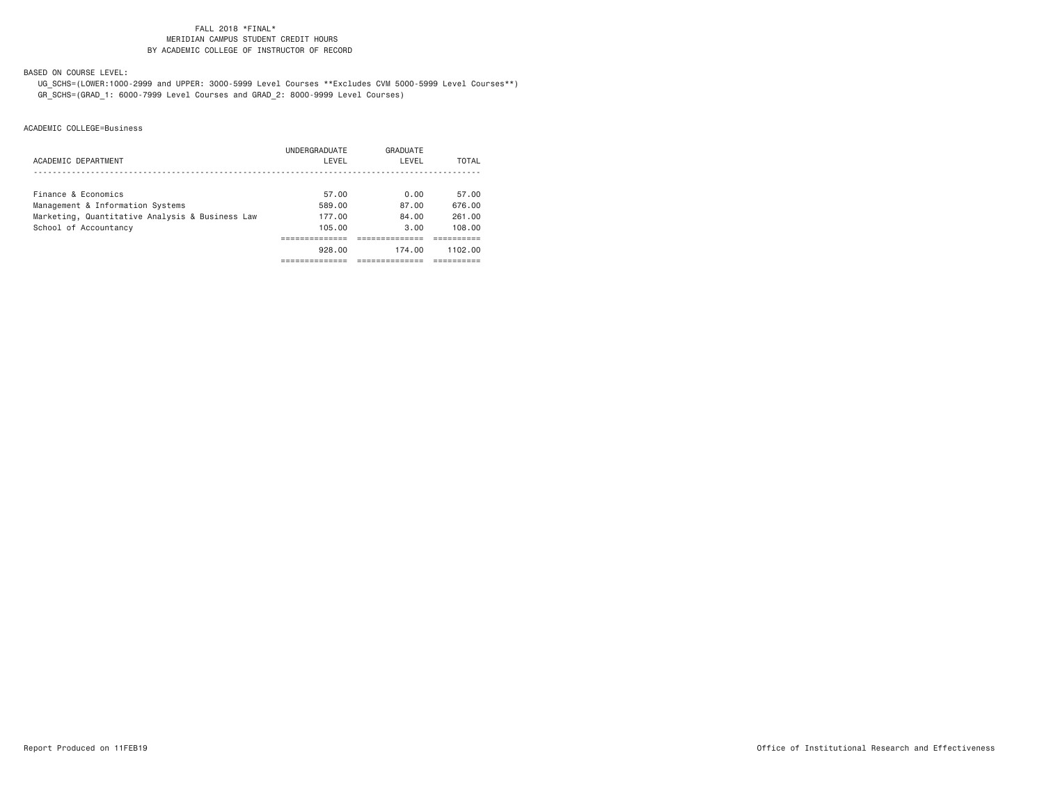### FALL 2018 \*FINAL\***MERIDIAN CAMPUS STUDENT CREDIT HOURS** BY ACADEMIC COLLEGE OF INSTRUCTOR OF RECORD

BASED ON COURSE LEVEL:

 UG\_SCHS=(LOWER:1000-2999 and UPPER: 3000-5999 Level Courses \*\*Excludes CVM 5000-5999 Level Courses\*\*) GR\_SCHS=(GRAD\_1: 6000-7999 Level Courses and GRAD\_2: 8000-9999 Level Courses)

|                                                 | UNDERGRADUATE | GRADUATE |         |
|-------------------------------------------------|---------------|----------|---------|
| ACADEMIC DEPARTMENT                             | LEVEL         | LEVEL    | TOTAL   |
|                                                 |               |          |         |
| Finance & Economics                             | 57.00         | 0.00     | 57.00   |
| Management & Information Systems                | 589.00        | 87.00    | 676.00  |
| Marketing, Quantitative Analysis & Business Law | 177.00        | 84.00    | 261.00  |
| School of Accountancy                           | 105.00        | 3.00     | 108,00  |
|                                                 |               |          |         |
|                                                 | 928.00        | 174.00   | 1102.00 |
|                                                 |               |          |         |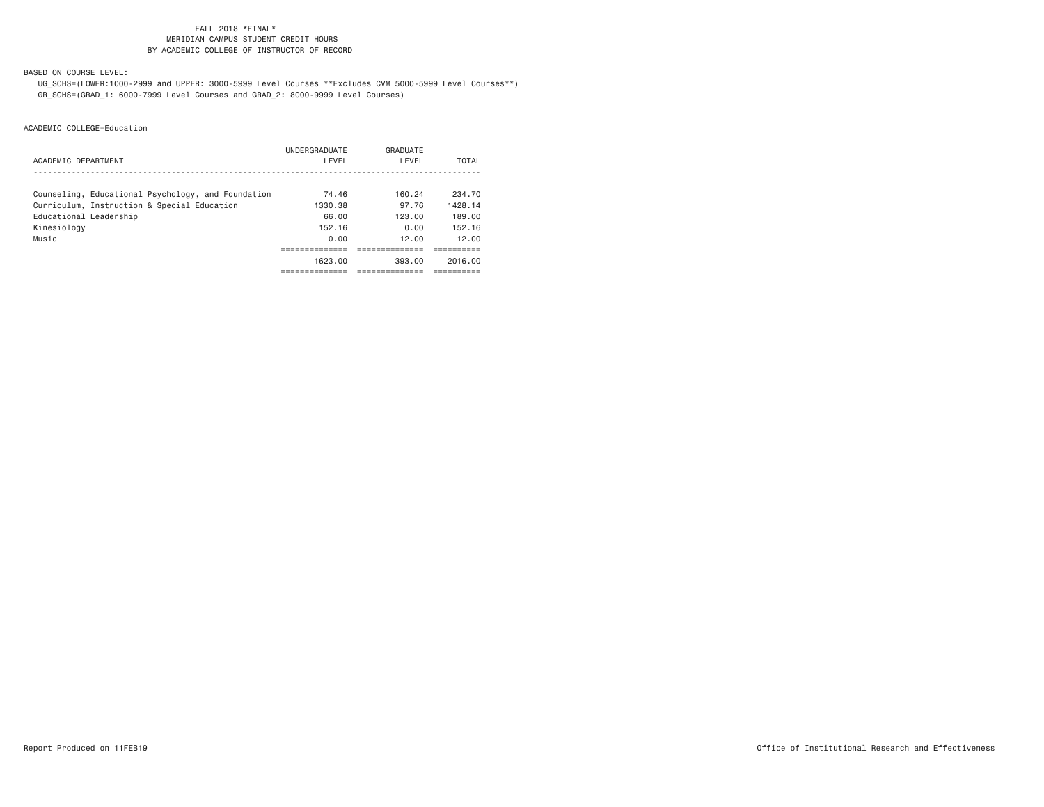### FALL 2018 \*FINAL\***MERIDIAN CAMPUS STUDENT CREDIT HOURS** BY ACADEMIC COLLEGE OF INSTRUCTOR OF RECORD

BASED ON COURSE LEVEL:

 UG\_SCHS=(LOWER:1000-2999 and UPPER: 3000-5999 Level Courses \*\*Excludes CVM 5000-5999 Level Courses\*\*) GR\_SCHS=(GRAD\_1: 6000-7999 Level Courses and GRAD\_2: 8000-9999 Level Courses)

| ACADEMIC DEPARTMENT                                | UNDERGRADUATE<br>LEVEL | GRADUATE<br>LEVEL | TOTAL    |
|----------------------------------------------------|------------------------|-------------------|----------|
| Counseling, Educational Psychology, and Foundation | 74.46                  | 160.24            | 234.70   |
| Curriculum, Instruction & Special Education        | 1330.38                | 97.76             | 1428.14  |
| Educational Leadership                             | 66.00                  | 123.00            | 189.00   |
| Kinesiology                                        | 152.16                 | 0.00              | 152.16   |
| Music                                              | 0.00                   | 12.00             | 12.00    |
|                                                    |                        |                   |          |
|                                                    | 1623.00                | 393.00            | 2016.00  |
|                                                    | ---------              | -----------       | -------- |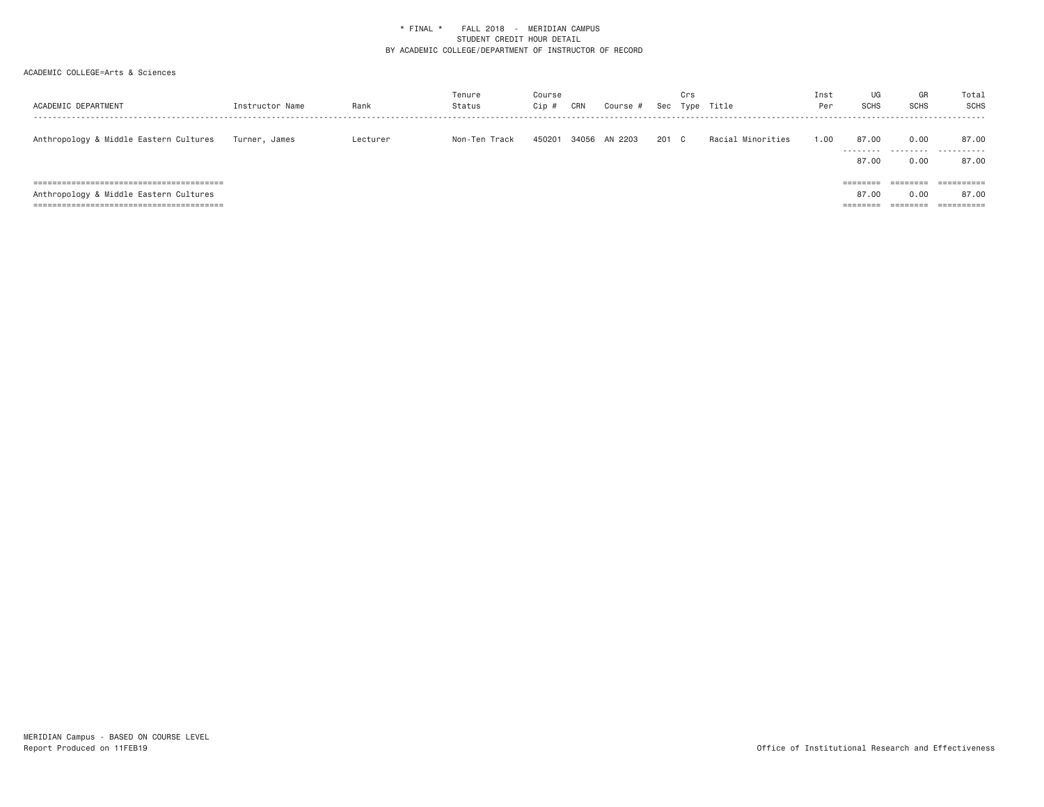| ACADEMIC DEPARTMENT                                                                 | Instructor Name | Rank     | Tenure<br>Status | Course<br>Cip # | CRN   | Course # | Sec | Crs | Type Title        | Inst<br>Per | UG<br><b>SCHS</b>                                  | GR<br><b>SCHS</b>            | Total<br>SCHS       |
|-------------------------------------------------------------------------------------|-----------------|----------|------------------|-----------------|-------|----------|-----|-----|-------------------|-------------|----------------------------------------------------|------------------------------|---------------------|
| Anthropology & Middle Eastern Cultures                                              | Turner, James   | Lecturer | Non-Ten Track    | 450201          | 34056 | AN 2203  | 201 | C.  | Racial Minorities | 1.00        | 87.00<br>.<br>87.00                                | 0.00<br>---------<br>0.00    | 87.00<br>.<br>87.00 |
| ============================<br>=========<br>Anthropology & Middle Eastern Cultures |                 |          |                  |                 |       |          |     |     |                   |             | $=$ = = = = = = =<br>87.00<br>________<br>-------- | 0.00<br>--------<br>-------- | 87.00               |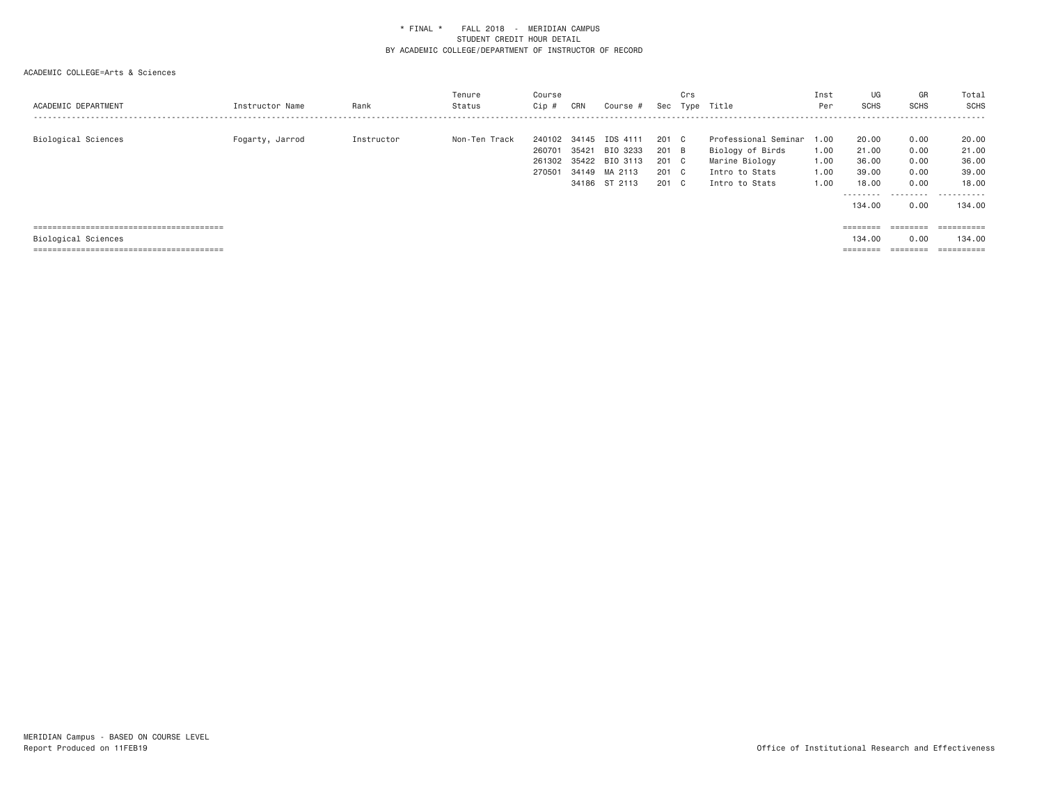| ACADEMIC DEPARTMENT | Instructor Name | Rank       | Tenure<br>Status | Course<br>Cip # | CRN   | Course # | Sec   | Crs<br>Type | Title                | Inst<br>Per | UG<br><b>SCHS</b> | GR<br><b>SCHS</b>     | Total<br>SCHS             |
|---------------------|-----------------|------------|------------------|-----------------|-------|----------|-------|-------------|----------------------|-------------|-------------------|-----------------------|---------------------------|
|                     |                 |            |                  |                 |       |          |       |             |                      |             |                   |                       |                           |
| Biological Sciences | Fogarty, Jarrod | Instructor | Non-Ten Track    | 240102          | 34145 | IDS 4111 | 201 C |             | Professional Seminar | 1.00        | 20.00             | 0.00                  | 20.00                     |
|                     |                 |            |                  | 260701          | 35421 | BIO 3233 | 201 B |             | Biology of Birds     | 1.00        | 21.00             | 0.00                  | 21.00                     |
|                     |                 |            |                  | 261302          | 35422 | BIO 3113 | 201 C |             | Marine Biology       | 1.00        | 36.00             | 0.00                  | 36.00                     |
|                     |                 |            |                  | 270501          | 34149 | MA 2113  | 201 C |             | Intro to Stats       | 1.00        | 39,00             | 0.00                  | 39,00                     |
|                     |                 |            |                  |                 | 34186 | ST 2113  | 201 C |             | Intro to Stats       | 1.00        | 18.00             | 0.00                  | 18,00                     |
|                     |                 |            |                  |                 |       |          |       |             |                      |             | ---------         | .                     | .                         |
|                     |                 |            |                  |                 |       |          |       |             |                      |             | 134.00            | 0.00                  | 134,00                    |
|                     |                 |            |                  |                 |       |          |       |             |                      |             |                   |                       |                           |
|                     |                 |            |                  |                 |       |          |       |             |                      |             | $=$ = = = = = = = | ---------<br>-------- | -----------<br>---------- |
| Biological Sciences |                 |            |                  |                 |       |          |       |             |                      |             | 134,00            | 0.00                  | 134,00                    |
|                     |                 |            |                  |                 |       |          |       |             |                      |             | $=$ = = = = = = = | --------<br>--------  | -----------<br>---------- |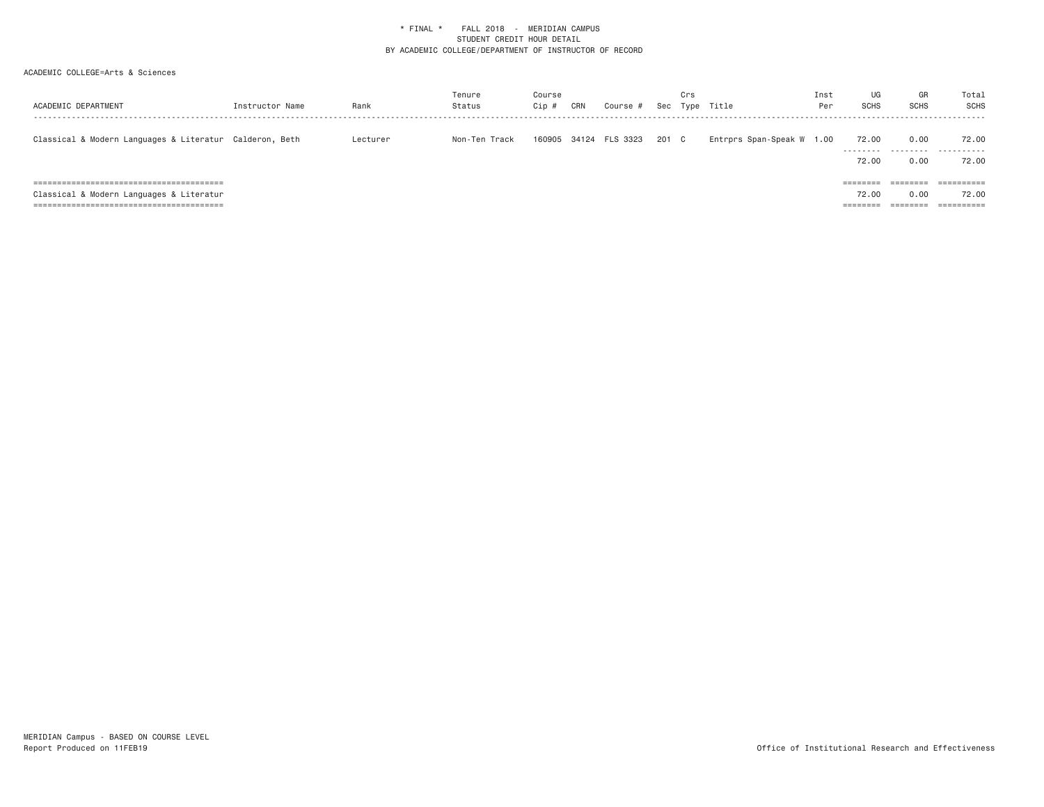| ACADEMIC DEPARTMENT                                     | Instructor Name | Rank     | Tenure<br>Status | Course<br>Cip # | CRN   | Course # |       | Crs | Sec Type Title            | Inst<br>Per | UG<br><b>SCHS</b>  | GR<br><b>SCHS</b> | Total<br>SCHS |
|---------------------------------------------------------|-----------------|----------|------------------|-----------------|-------|----------|-------|-----|---------------------------|-------------|--------------------|-------------------|---------------|
| Classical & Modern Languages & Literatur Calderon, Beth |                 | Lecturer | Non-Ten Track    | 160905          | 34124 | FLS 3323 | 201 C |     | Entrprs Span-Speak W 1.00 |             | 72.00<br>--------- | 0.00<br>.         | 72.00<br>.    |
|                                                         |                 |          |                  |                 |       |          |       |     |                           |             | 72.00              | 0.00              | 72.00         |
|                                                         |                 |          |                  |                 |       |          |       |     |                           |             | ========           |                   |               |
| Classical & Modern Languages & Literatur                |                 |          |                  |                 |       |          |       |     |                           |             | 72.00              | 0.00              | 72.00         |
|                                                         |                 |          |                  |                 |       |          |       |     |                           |             | ========           |                   | ==========    |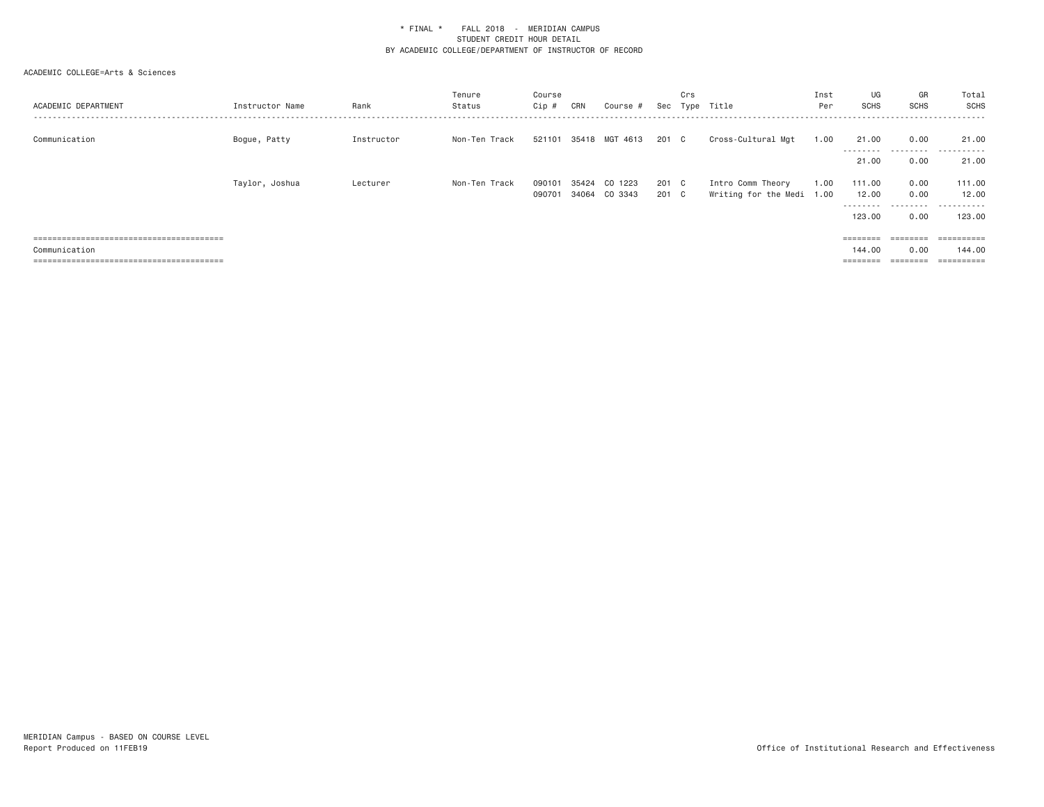| ACADEMIC DEPARTMENT | Instructor Name | Rank       | Tenure<br>Status | Course<br>Cip # | CRN   | Course #       | Sec   | Crs | Type Title                | Inst<br>Per | UG<br><b>SCHS</b>  | GR<br><b>SCHS</b> | Total<br>SCHS                                                                                                                                                                                                                                                                                                                                                                                                                                                                          |
|---------------------|-----------------|------------|------------------|-----------------|-------|----------------|-------|-----|---------------------------|-------------|--------------------|-------------------|----------------------------------------------------------------------------------------------------------------------------------------------------------------------------------------------------------------------------------------------------------------------------------------------------------------------------------------------------------------------------------------------------------------------------------------------------------------------------------------|
| Communication       | Bogue, Patty    | Instructor | Non-Ten Track    | 521101          |       | 35418 MGT 4613 | 201 C |     | Cross-Cultural Mgt        | 1.00        | 21.00<br>--------- | 0.00<br>.         | 21.00<br>.<br>.                                                                                                                                                                                                                                                                                                                                                                                                                                                                        |
|                     |                 |            |                  |                 |       |                |       |     |                           |             | 21.00              | 0.00              | 21.00                                                                                                                                                                                                                                                                                                                                                                                                                                                                                  |
|                     | Taylor, Joshua  | Lecturer   | Non-Ten Track    | 090101          | 35424 | CO 1223        | 201 C |     | Intro Comm Theory         | 1.00        | 111.00             | 0.00              | 111.00                                                                                                                                                                                                                                                                                                                                                                                                                                                                                 |
|                     |                 |            |                  | 090701          |       | 34064 CO 3343  | 201 C |     | Writing for the Medi 1.00 |             | 12.00<br>--------- | 0.00<br>.         | 12.00<br>.                                                                                                                                                                                                                                                                                                                                                                                                                                                                             |
|                     |                 |            |                  |                 |       |                |       |     |                           |             | 123.00             | 0.00              | 123,00                                                                                                                                                                                                                                                                                                                                                                                                                                                                                 |
|                     |                 |            |                  |                 |       |                |       |     |                           |             | ========           | ========          | $\begin{array}{cccccccccc} \multicolumn{2}{c}{} & \multicolumn{2}{c}{} & \multicolumn{2}{c}{} & \multicolumn{2}{c}{} & \multicolumn{2}{c}{} & \multicolumn{2}{c}{} & \multicolumn{2}{c}{} & \multicolumn{2}{c}{} & \multicolumn{2}{c}{} & \multicolumn{2}{c}{} & \multicolumn{2}{c}{} & \multicolumn{2}{c}{} & \multicolumn{2}{c}{} & \multicolumn{2}{c}{} & \multicolumn{2}{c}{} & \multicolumn{2}{c}{} & \multicolumn{2}{c}{} & \multicolumn{2}{c}{} & \multicolumn{2}{c}{} & \mult$ |
| Communication       |                 |            |                  |                 |       |                |       |     |                           |             | 144.00             | 0.00              | 144.00                                                                                                                                                                                                                                                                                                                                                                                                                                                                                 |
|                     |                 |            |                  |                 |       |                |       |     |                           |             | $=$ = = = = = = =  |                   |                                                                                                                                                                                                                                                                                                                                                                                                                                                                                        |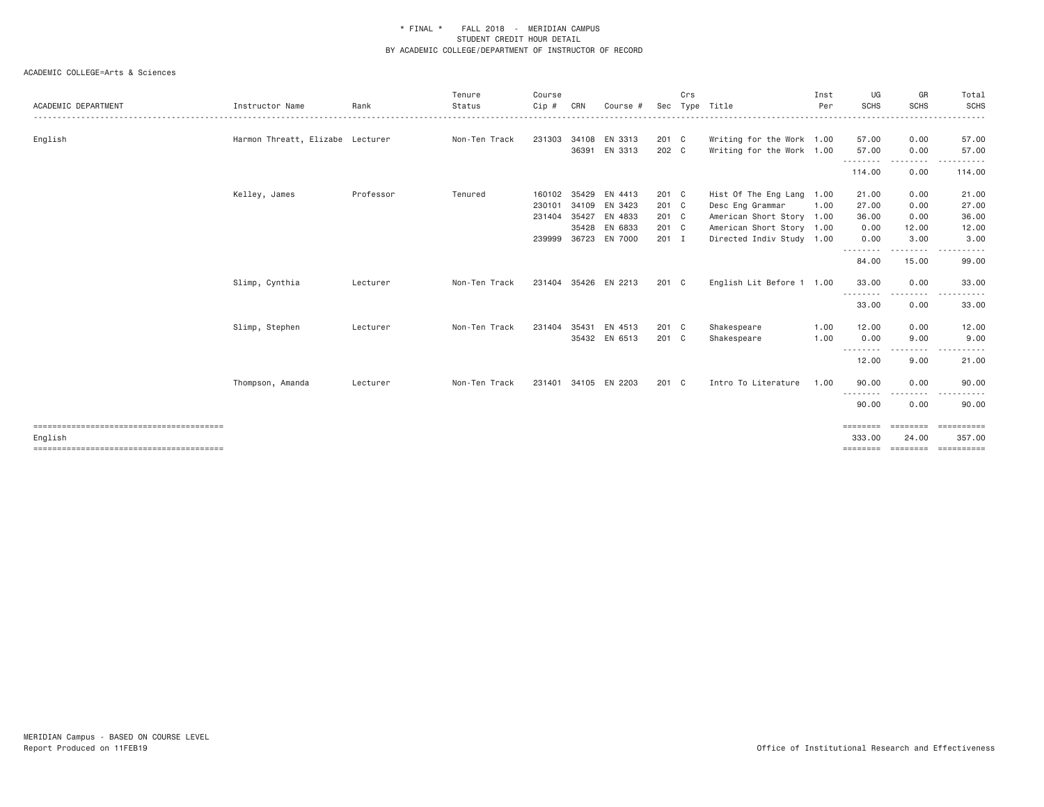|                     |                                  |           | Tenure        | Course |       |               |         | Crs |                           | Inst | UG                         | GR                                                                                                                                                           | Total                                                                                                                                                                                                                                                                                                                                                                                                                                                                                  |
|---------------------|----------------------------------|-----------|---------------|--------|-------|---------------|---------|-----|---------------------------|------|----------------------------|--------------------------------------------------------------------------------------------------------------------------------------------------------------|----------------------------------------------------------------------------------------------------------------------------------------------------------------------------------------------------------------------------------------------------------------------------------------------------------------------------------------------------------------------------------------------------------------------------------------------------------------------------------------|
| ACADEMIC DEPARTMENT | Instructor Name                  | Rank      | Status        | Cip #  | CRN   | Course #      | Sec     |     | Type Title                | Per  | <b>SCHS</b>                | <b>SCHS</b>                                                                                                                                                  | <b>SCHS</b>                                                                                                                                                                                                                                                                                                                                                                                                                                                                            |
| English             | Harmon Threatt, Elizabe Lecturer |           | Non-Ten Track | 231303 | 34108 | EN 3313       | 201 C   |     | Writing for the Work 1.00 |      | 57.00                      | 0.00                                                                                                                                                         | 57.00                                                                                                                                                                                                                                                                                                                                                                                                                                                                                  |
|                     |                                  |           |               |        | 36391 | EN 3313       | 202 C   |     | Writing for the Work 1.00 |      | 57.00<br>.                 | 0.00<br>$\frac{1}{2} \left( \frac{1}{2} \right) \left( \frac{1}{2} \right) \left( \frac{1}{2} \right) \left( \frac{1}{2} \right) \left( \frac{1}{2} \right)$ | 57.00<br>.                                                                                                                                                                                                                                                                                                                                                                                                                                                                             |
|                     |                                  |           |               |        |       |               |         |     |                           |      | 114.00                     | 0.00                                                                                                                                                         | 114.00                                                                                                                                                                                                                                                                                                                                                                                                                                                                                 |
|                     | Kelley, James                    | Professor | Tenured       | 160102 | 35429 | EN 4413       | 201 C   |     | Hist Of The Eng Lang 1.00 |      | 21.00                      | 0.00                                                                                                                                                         | 21.00                                                                                                                                                                                                                                                                                                                                                                                                                                                                                  |
|                     |                                  |           |               | 230101 | 34109 | EN 3423       | 201 C   |     | Desc Eng Grammar          | 1.00 | 27.00                      | 0.00                                                                                                                                                         | 27.00                                                                                                                                                                                                                                                                                                                                                                                                                                                                                  |
|                     |                                  |           |               | 231404 | 35427 | EN 4833       | 201 C   |     | American Short Story 1.00 |      | 36.00                      | 0.00                                                                                                                                                         | 36.00                                                                                                                                                                                                                                                                                                                                                                                                                                                                                  |
|                     |                                  |           |               |        | 35428 | EN 6833       | 201 C   |     | American Short Story 1.00 |      | 0.00                       | 12.00                                                                                                                                                        | 12.00                                                                                                                                                                                                                                                                                                                                                                                                                                                                                  |
|                     |                                  |           |               | 239999 | 36723 | EN 7000       | $201$ I |     | Directed Indiv Study 1.00 |      | 0.00<br>.                  | 3.00<br>--------                                                                                                                                             | 3.00<br>. <u>.</u>                                                                                                                                                                                                                                                                                                                                                                                                                                                                     |
|                     |                                  |           |               |        |       |               |         |     |                           |      | 84.00                      | 15.00                                                                                                                                                        | 99.00                                                                                                                                                                                                                                                                                                                                                                                                                                                                                  |
|                     | Slimp, Cynthia                   | Lecturer  | Non-Ten Track | 231404 |       | 35426 EN 2213 | 201 C   |     | English Lit Before 1 1.00 |      | 33.00                      | 0.00                                                                                                                                                         | 33.00                                                                                                                                                                                                                                                                                                                                                                                                                                                                                  |
|                     |                                  |           |               |        |       |               |         |     |                           |      | - - - - - - - - -<br>33.00 | 0.00                                                                                                                                                         | 33.00                                                                                                                                                                                                                                                                                                                                                                                                                                                                                  |
|                     | Slimp, Stephen                   | Lecturer  | Non-Ten Track | 231404 | 35431 | EN 4513       | 201 C   |     | Shakespeare               | 1.00 | 12.00                      | 0.00                                                                                                                                                         | 12.00                                                                                                                                                                                                                                                                                                                                                                                                                                                                                  |
|                     |                                  |           |               |        |       | 35432 EN 6513 | 201 C   |     | Shakespeare               | 1.00 | 0.00                       | 9.00                                                                                                                                                         | 9.00                                                                                                                                                                                                                                                                                                                                                                                                                                                                                   |
|                     |                                  |           |               |        |       |               |         |     |                           |      | .<br>12.00                 | -----<br>9.00                                                                                                                                                | .<br>21.00                                                                                                                                                                                                                                                                                                                                                                                                                                                                             |
|                     | Thompson, Amanda                 | Lecturer  | Non-Ten Track | 231401 |       | 34105 EN 2203 | 201 C   |     | Intro To Literature       | 1.00 | 90.00                      | 0.00                                                                                                                                                         | 90.00                                                                                                                                                                                                                                                                                                                                                                                                                                                                                  |
|                     |                                  |           |               |        |       |               |         |     |                           |      | .<br>90.00                 | 0.00                                                                                                                                                         | 90.00                                                                                                                                                                                                                                                                                                                                                                                                                                                                                  |
|                     |                                  |           |               |        |       |               |         |     |                           |      | ========                   | ---------                                                                                                                                                    | $\begin{array}{cccccccccc} \multicolumn{3}{c}{} & \multicolumn{3}{c}{} & \multicolumn{3}{c}{} & \multicolumn{3}{c}{} & \multicolumn{3}{c}{} & \multicolumn{3}{c}{} & \multicolumn{3}{c}{} & \multicolumn{3}{c}{} & \multicolumn{3}{c}{} & \multicolumn{3}{c}{} & \multicolumn{3}{c}{} & \multicolumn{3}{c}{} & \multicolumn{3}{c}{} & \multicolumn{3}{c}{} & \multicolumn{3}{c}{} & \multicolumn{3}{c}{} & \multicolumn{3}{c}{} & \multicolumn{3}{c}{} & \multicolumn{3}{c}{} & \mult$ |
| English             |                                  |           |               |        |       |               |         |     |                           |      | 333,00                     | 24,00                                                                                                                                                        | 357.00                                                                                                                                                                                                                                                                                                                                                                                                                                                                                 |
|                     |                                  |           |               |        |       |               |         |     |                           |      | ========                   |                                                                                                                                                              |                                                                                                                                                                                                                                                                                                                                                                                                                                                                                        |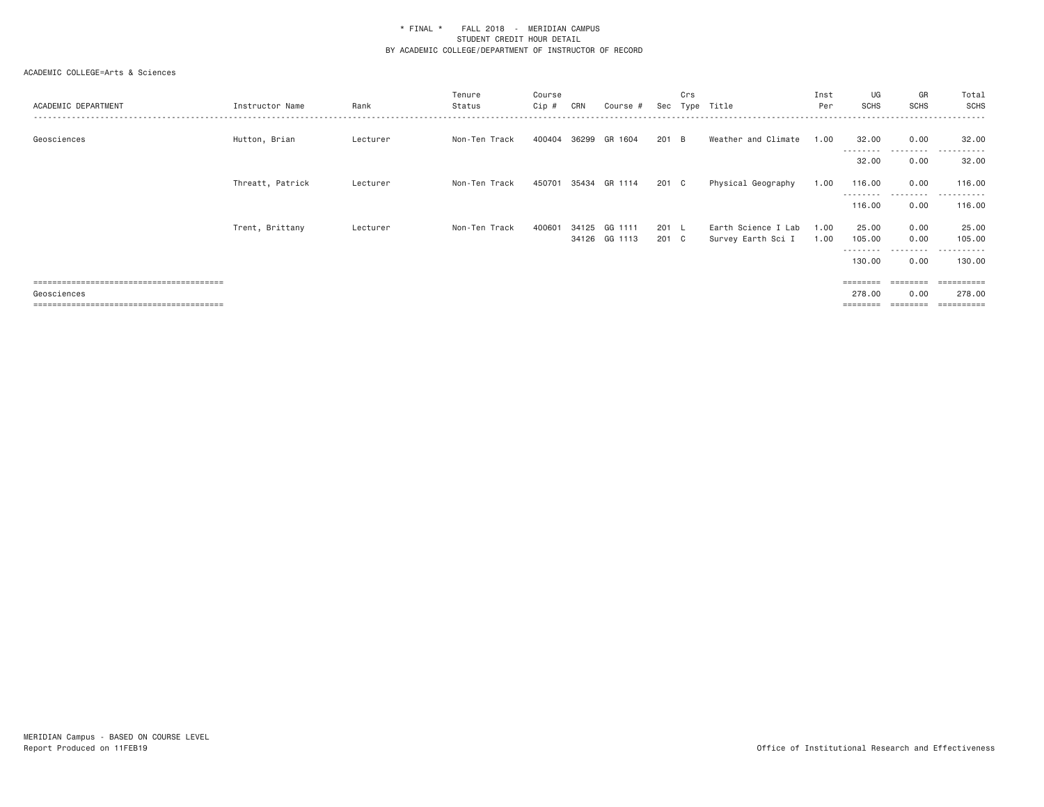| ACADEMIC DEPARTMENT | Instructor Name  | Rank     | Tenure<br>Status | Course<br>Cip # | CRN   | Course #                 |                        | Crs | Sec Type Title                            | Inst<br>Per  | UG<br><b>SCHS</b>  | GR<br><b>SCHS</b> | Total<br><b>SCHS</b>                                                                                                                                                                                                                                                                                                                                                                                                                                                                   |
|---------------------|------------------|----------|------------------|-----------------|-------|--------------------------|------------------------|-----|-------------------------------------------|--------------|--------------------|-------------------|----------------------------------------------------------------------------------------------------------------------------------------------------------------------------------------------------------------------------------------------------------------------------------------------------------------------------------------------------------------------------------------------------------------------------------------------------------------------------------------|
| Geosciences         | Hutton, Brian    | Lecturer | Non-Ten Track    | 400404          |       | 36299 GR 1604            | 201 B                  |     | Weather and Climate                       | 1.00         | 32.00<br>--------  | 0.00<br>.         | 32.00<br>.                                                                                                                                                                                                                                                                                                                                                                                                                                                                             |
|                     |                  |          |                  |                 |       |                          |                        |     |                                           |              | 32.00              | 0.00              | 32.00                                                                                                                                                                                                                                                                                                                                                                                                                                                                                  |
|                     | Threatt, Patrick | Lecturer | Non-Ten Track    | 450701          |       | 35434 GR 1114            | 201 C                  |     | Physical Geography                        | 1.00         | 116.00<br><u>.</u> | 0.00              | 116.00<br>.                                                                                                                                                                                                                                                                                                                                                                                                                                                                            |
|                     |                  |          |                  |                 |       |                          |                        |     |                                           |              | 116.00             | 0.00              | 116.00                                                                                                                                                                                                                                                                                                                                                                                                                                                                                 |
|                     | Trent, Brittany  | Lecturer | Non-Ten Track    | 400601          | 34125 | GG 1111<br>34126 GG 1113 | $201 \quad L$<br>201 C |     | Earth Science I Lab<br>Survey Earth Sci I | 1.00<br>1.00 | 25.00<br>105.00    | 0.00<br>0.00      | 25.00<br>105.00                                                                                                                                                                                                                                                                                                                                                                                                                                                                        |
|                     |                  |          |                  |                 |       |                          |                        |     |                                           |              | <u>.</u><br>130.00 | ---------<br>0.00 | - - - - - - -<br>130.00                                                                                                                                                                                                                                                                                                                                                                                                                                                                |
|                     |                  |          |                  |                 |       |                          |                        |     |                                           |              | ========           | ========          | ==========                                                                                                                                                                                                                                                                                                                                                                                                                                                                             |
| Geosciences         |                  |          |                  |                 |       |                          |                        |     |                                           |              | 278.00             | 0.00              | 278.00                                                                                                                                                                                                                                                                                                                                                                                                                                                                                 |
|                     |                  |          |                  |                 |       |                          |                        |     |                                           |              |                    | $=$               | $\begin{array}{cccccccccc} \multicolumn{3}{c}{} & \multicolumn{3}{c}{} & \multicolumn{3}{c}{} & \multicolumn{3}{c}{} & \multicolumn{3}{c}{} & \multicolumn{3}{c}{} & \multicolumn{3}{c}{} & \multicolumn{3}{c}{} & \multicolumn{3}{c}{} & \multicolumn{3}{c}{} & \multicolumn{3}{c}{} & \multicolumn{3}{c}{} & \multicolumn{3}{c}{} & \multicolumn{3}{c}{} & \multicolumn{3}{c}{} & \multicolumn{3}{c}{} & \multicolumn{3}{c}{} & \multicolumn{3}{c}{} & \multicolumn{3}{c}{} & \mult$ |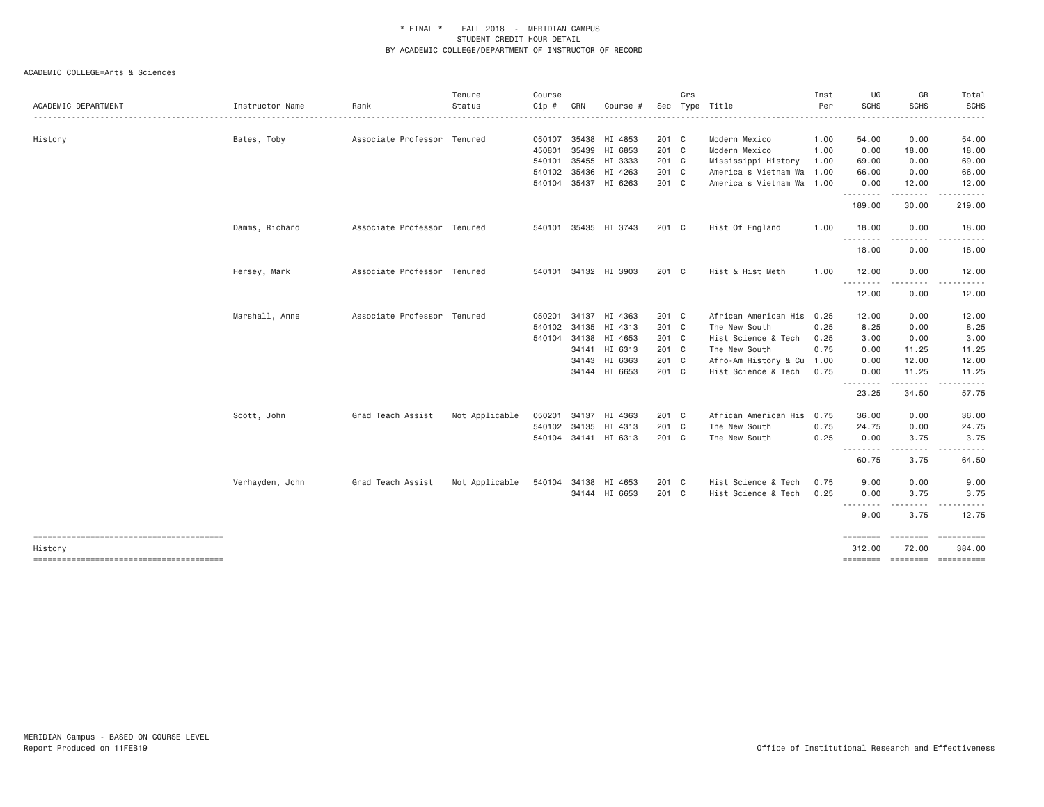|                     |                 |                             | Tenure         | Course |     |                      |       | Crs |                           | Inst | UG                       | GR                    | Total                |
|---------------------|-----------------|-----------------------------|----------------|--------|-----|----------------------|-------|-----|---------------------------|------|--------------------------|-----------------------|----------------------|
| ACADEMIC DEPARTMENT | Instructor Name | Rank                        | Status         | Cip #  | CRN | Course #             |       |     | Sec Type Title            | Per  | <b>SCHS</b>              | SCHS                  | <b>SCHS</b>          |
| History             | Bates, Toby     | Associate Professor Tenured |                | 050107 |     | 35438 HI 4853        | 201 C |     | Modern Mexico             | 1.00 | 54.00                    | 0.00                  | 54.00                |
|                     |                 |                             |                | 450801 |     | 35439 HI 6853        | 201 C |     | Modern Mexico             | 1.00 | 0.00                     | 18.00                 | 18.00                |
|                     |                 |                             |                | 540101 |     | 35455 HI 3333        | 201 C |     | Mississippi History       | 1.00 | 69.00                    | 0.00                  | 69.00                |
|                     |                 |                             |                | 540102 |     | 35436 HI 4263        | 201 C |     | America's Vietnam Wa 1.00 |      | 66.00                    | 0.00                  | 66.00                |
|                     |                 |                             |                |        |     | 540104 35437 HI 6263 | 201 C |     | America's Vietnam Wa 1.00 |      | 0.00<br>.                | 12.00<br>$- - - - -$  | 12.00<br>.           |
|                     |                 |                             |                |        |     |                      |       |     |                           |      | 189.00                   | 30.00                 | 219.00               |
|                     | Damms, Richard  | Associate Professor Tenured |                |        |     | 540101 35435 HI 3743 | 201 C |     | Hist Of England           | 1.00 | 18.00<br>.               | 0.00                  | 18.00                |
|                     |                 |                             |                |        |     |                      |       |     |                           |      | 18.00                    | 0.00                  | 18.00                |
|                     | Hersey, Mark    | Associate Professor Tenured |                |        |     | 540101 34132 HI 3903 | 201 C |     | Hist & Hist Meth          | 1.00 | 12.00                    | 0.00                  | 12.00                |
|                     |                 |                             |                |        |     |                      |       |     |                           |      | .<br>12.00               | $\frac{1}{2}$<br>0.00 | 12.00                |
|                     | Marshall, Anne  | Associate Professor Tenured |                | 050201 |     | 34137 HI 4363        | 201 C |     | African American His 0.25 |      | 12.00                    | 0.00                  | 12.00                |
|                     |                 |                             |                | 540102 |     | 34135 HI 4313        | 201 C |     | The New South             | 0.25 | 8.25                     | 0.00                  | 8.25                 |
|                     |                 |                             |                | 540104 |     | 34138 HI 4653        | 201 C |     | Hist Science & Tech       | 0.25 | 3.00                     | 0.00                  | 3.00                 |
|                     |                 |                             |                |        |     | 34141 HI 6313        | 201 C |     | The New South             | 0.75 | 0.00                     | 11.25                 | 11.25                |
|                     |                 |                             |                |        |     | 34143 HI 6363        | 201 C |     | Afro-Am History & Cu 1.00 |      | 0.00                     | 12.00                 | 12.00                |
|                     |                 |                             |                |        |     | 34144 HI 6653        | 201 C |     | Hist Science & Tech       | 0.75 | 0.00<br>.                | 11.25<br>-----        | 11.25                |
|                     |                 |                             |                |        |     |                      |       |     |                           |      | 23.25                    | 34.50                 | 57.75                |
|                     | Scott, John     | Grad Teach Assist           | Not Applicable | 050201 |     | 34137 HI 4363        | 201 C |     | African American His 0.75 |      | 36.00                    | 0.00                  | 36.00                |
|                     |                 |                             |                | 540102 |     | 34135 HI 4313        | 201 C |     | The New South             | 0.75 | 24.75                    | 0.00                  | 24.75                |
|                     |                 |                             |                |        |     | 540104 34141 HI 6313 | 201 C |     | The New South             | 0.25 | 0.00<br>.                | 3.75<br>.             | 3.75<br>.            |
|                     |                 |                             |                |        |     |                      |       |     |                           |      | 60.75                    | 3.75                  | 64.50                |
|                     | Verhayden, John | Grad Teach Assist           | Not Applicable | 540104 |     | 34138 HI 4653        | 201 C |     | Hist Science & Tech       | 0.75 | 9.00                     | 0.00                  | 9.00                 |
|                     |                 |                             |                |        |     | 34144 HI 6653        | 201 C |     | Hist Science & Tech       | 0.25 | 0.00<br>.                | 3.75<br>.             | 3.75<br>.            |
|                     |                 |                             |                |        |     |                      |       |     |                           |      | 9.00                     | 3.75                  | 12.75                |
|                     |                 |                             |                |        |     |                      |       |     |                           |      | <b>BEBBEER</b><br>312.00 | ---------<br>72.00    | ==========<br>384.00 |
| History             |                 |                             |                |        |     |                      |       |     |                           |      |                          |                       |                      |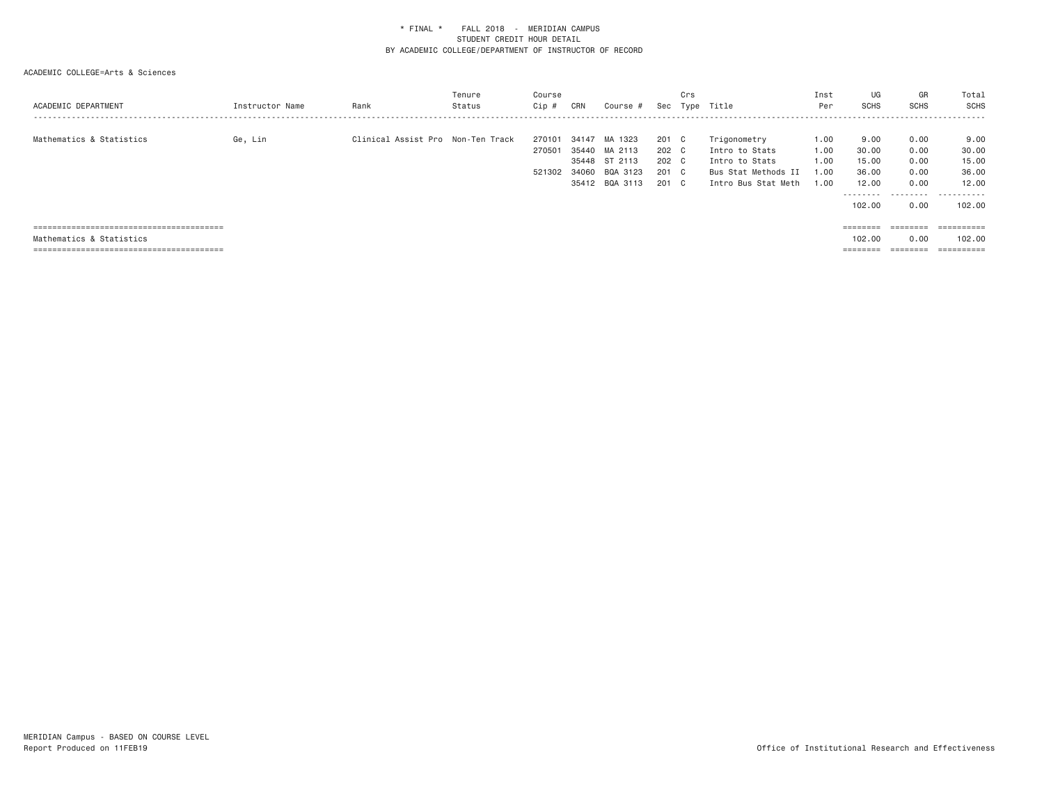| ACADEMIC DEPARTMENT      | Instructor Name | Rank                              | Tenure<br>Status | Course<br>Cip #            | CRN                              | Course #                                                    | Sec                                       | Crs | Type Title                                                                                     | Inst<br>Per                          | UG<br><b>SCHS</b>                                               | GR<br><b>SCHS</b>                                                       | Total<br>SCHS                                           |
|--------------------------|-----------------|-----------------------------------|------------------|----------------------------|----------------------------------|-------------------------------------------------------------|-------------------------------------------|-----|------------------------------------------------------------------------------------------------|--------------------------------------|-----------------------------------------------------------------|-------------------------------------------------------------------------|---------------------------------------------------------|
| Mathematics & Statistics | Ge, Lin         | Clinical Assist Pro Non-Ten Track |                  | 270101<br>270501<br>521302 | 34147<br>35440<br>35448<br>34060 | MA 1323<br>MA 2113<br>ST 2113<br>BQA 3123<br>35412 BQA 3113 | 201 C<br>202 C<br>202 C<br>201 C<br>201 C |     | Trigonometry<br>Intro to Stats<br>Intro to Stats<br>Bus Stat Methods II<br>Intro Bus Stat Meth | 1.00<br>1.00<br>1.00<br>1.00<br>1.00 | 9.00<br>30.00<br>15.00<br>36.00<br>12.00<br>---------<br>102.00 | 0.00<br>0.00<br>0.00<br>0.00<br>0.00<br>.<br>0.00                       | 9.00<br>30.00<br>15.00<br>36.00<br>12.00<br>.<br>102,00 |
|                          |                 |                                   |                  |                            |                                  |                                                             |                                           |     |                                                                                                |                                      |                                                                 | $\qquad \qquad \equiv \equiv \equiv \equiv \equiv \equiv \equiv \equiv$ | -----------<br>----------                               |
| Mathematics & Statistics |                 |                                   |                  |                            |                                  |                                                             |                                           |     |                                                                                                |                                      | 102,00                                                          | 0.00                                                                    | 102,00                                                  |
|                          |                 |                                   |                  |                            |                                  |                                                             |                                           |     |                                                                                                |                                      | --------<br>--------                                            | --------<br>--------                                                    | -----------<br>----------                               |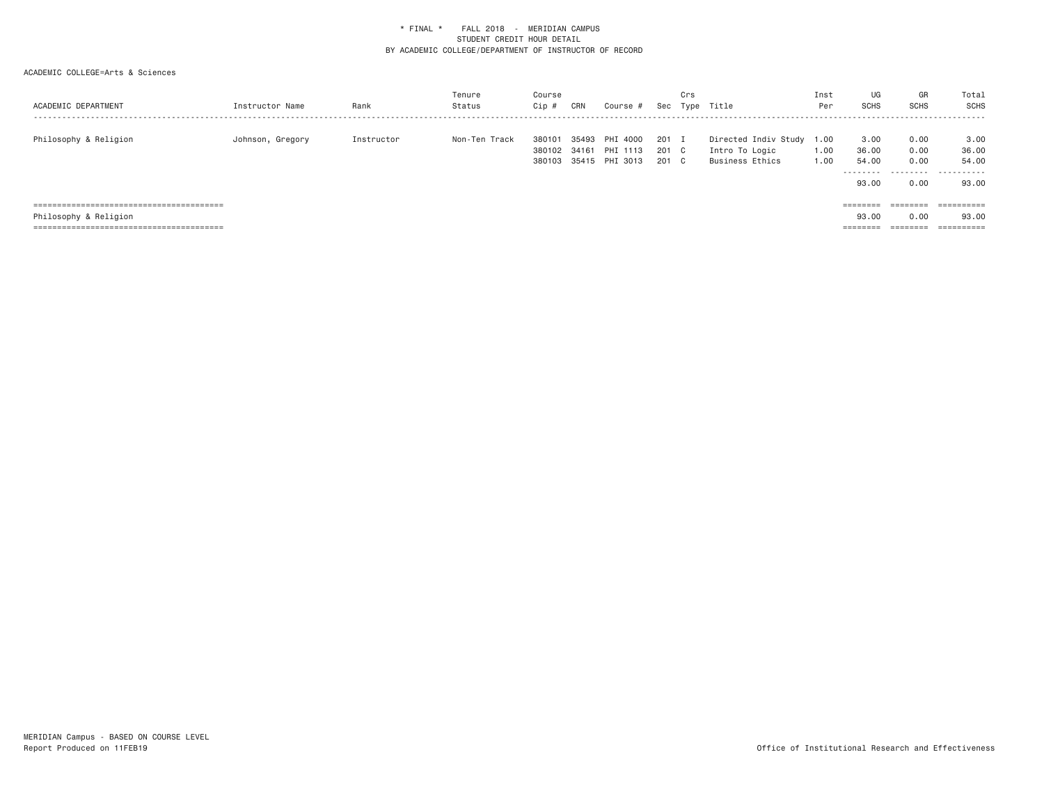| ACADEMIC DEPARTMENT   | Instructor Name  | Rank       | Tenure<br>Status | Course<br>Cip # | CRN   | Course #       | Sec   | Crs | Type Title                | Inst<br>Per | UG<br><b>SCHS</b>    | GR<br><b>SCHS</b>    | Total<br>SCHS            |
|-----------------------|------------------|------------|------------------|-----------------|-------|----------------|-------|-----|---------------------------|-------------|----------------------|----------------------|--------------------------|
| Philosophy & Religion | Johnson, Gregory | Instructor | Non-Ten Track    | 380101          | 35493 | PHI 4000       | 201 I |     | Directed Indiv Study 1.00 |             | 3.00                 | 0.00                 | 3.00                     |
|                       |                  |            |                  | 380102          | 34161 | PHI 1113       | 201 C |     | Intro To Logic            | 1.00        | 36.00                | 0.00                 | 36.00                    |
|                       |                  |            |                  | 380103          |       | 35415 PHI 3013 | 201 C |     | Business Ethics           | 1.00        | 54.00                | 0.00                 | 54.00                    |
|                       |                  |            |                  |                 |       |                |       |     |                           |             | ---------<br>93.00   | 0.00                 | .<br>93.00               |
|                       |                  |            |                  |                 |       |                |       |     |                           |             |                      | ========             |                          |
| Philosophy & Religion |                  |            |                  |                 |       |                |       |     |                           |             | 93,00                | 0.00                 | 93.00                    |
|                       |                  |            |                  |                 |       |                |       |     |                           |             | ________<br>-------- | --------<br>-------- | ----------<br>---------- |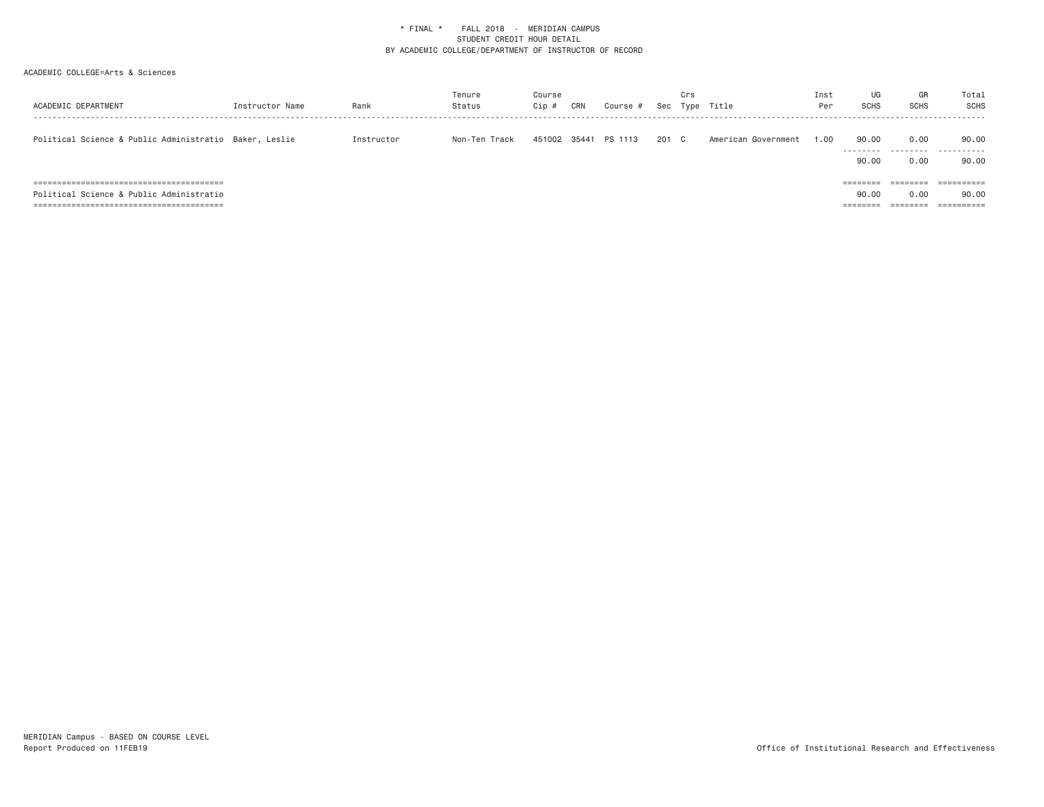| ACADEMIC DEPARTMENT                                                                  | Instructor Name | Rank       | Tenure<br>Status | Course<br>Cip # | CRN | Course #      | Sec   | Crs | Type Title          | Inst<br>Per | UG<br><b>SCHS</b>             | GR<br><b>SCHS</b>            | Total<br>SCHS       |
|--------------------------------------------------------------------------------------|-----------------|------------|------------------|-----------------|-----|---------------|-------|-----|---------------------|-------------|-------------------------------|------------------------------|---------------------|
| Political Science & Public Administratio Baker, Leslie                               |                 | Instructor | Non-Ten Track    | 451002          |     | 35441 PS 1113 | 201 C |     | American Government | 1.00        | 90.00<br>.<br>90.00           | 0.00<br>--------<br>0.00     | 90.00<br>.<br>90.00 |
| ===========================<br>=========<br>Political Science & Public Administratio |                 |            |                  |                 |     |               |       |     |                     |             | 90.00<br>________<br>-------- | 0.00<br>--------<br>-------- | 90.00               |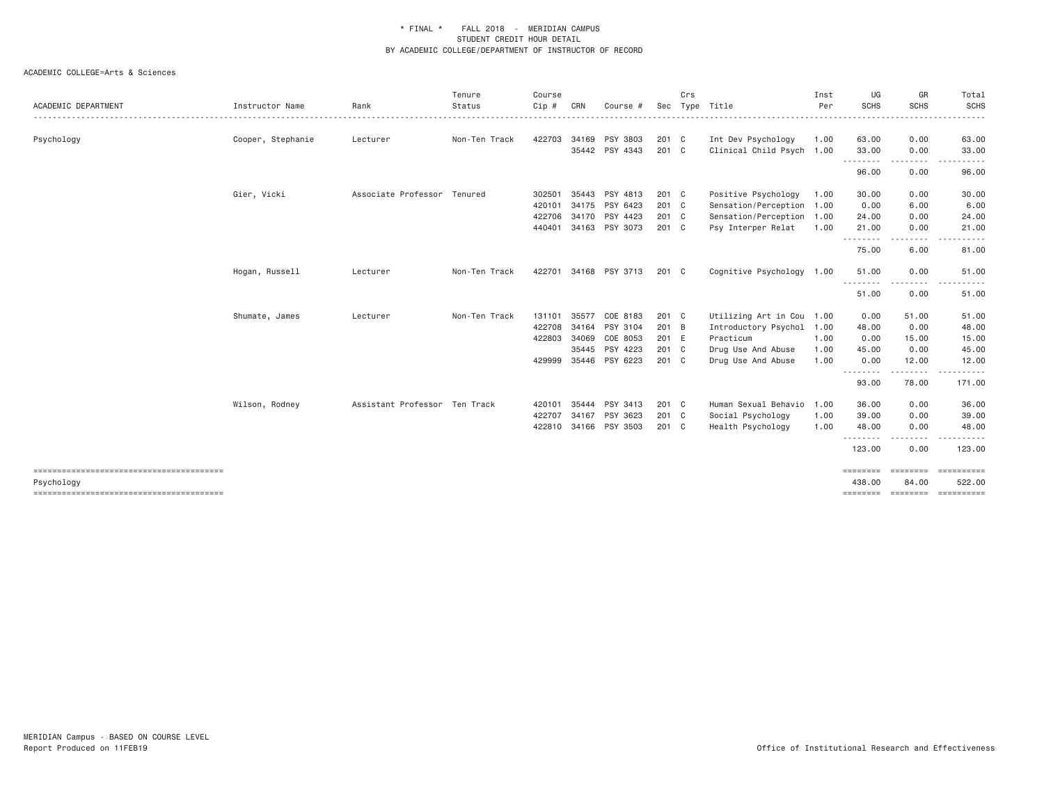| ACADEMIC DEPARTMENT | Instructor Name   | Rank                          | Tenure<br>Status | Course<br>Cip # | CRN   | Course #              | Sec     | Crs | Type Title                | Inst<br>Per | UG<br><b>SCHS</b>                 | GR<br><b>SCHS</b>                                                                                                                 | Total<br><b>SCHS</b> |
|---------------------|-------------------|-------------------------------|------------------|-----------------|-------|-----------------------|---------|-----|---------------------------|-------------|-----------------------------------|-----------------------------------------------------------------------------------------------------------------------------------|----------------------|
|                     |                   |                               |                  |                 |       |                       |         |     |                           |             |                                   |                                                                                                                                   |                      |
| Psychology          | Cooper, Stephanie | Lecturer                      | Non-Ten Track    | 422703          |       | 34169 PSY 3803        | 201 C   |     | Int Dev Psychology        | 1.00        | 63.00                             | 0.00                                                                                                                              | 63.00                |
|                     |                   |                               |                  |                 |       | 35442 PSY 4343        | 201 C   |     | Clinical Child Psych 1.00 |             | 33.00<br>- - - - - - - - <b>-</b> | 0.00                                                                                                                              | 33.00                |
|                     |                   |                               |                  |                 |       |                       |         |     |                           |             | 96.00                             | 0.00                                                                                                                              | 96.00                |
|                     | Gier, Vicki       | Associate Professor Tenured   |                  | 302501          | 35443 | PSY 4813              | $201$ C |     | Positive Psychology       | 1.00        | 30.00                             | 0.00                                                                                                                              | 30.00                |
|                     |                   |                               |                  | 420101          |       | 34175 PSY 6423        | 201 C   |     | Sensation/Perception 1.00 |             | 0.00                              | 6.00                                                                                                                              | 6.00                 |
|                     |                   |                               |                  | 422706          |       | 34170 PSY 4423        | 201 C   |     | Sensation/Perception 1.00 |             | 24.00                             | 0.00                                                                                                                              | 24.00                |
|                     |                   |                               |                  | 440401          |       | 34163 PSY 3073        | 201 C   |     | Psy Interper Relat        | 1.00        | 21.00<br>.                        | 0.00<br>$\frac{1}{2} \left( \frac{1}{2} \right) \left( \frac{1}{2} \right) \left( \frac{1}{2} \right) \left( \frac{1}{2} \right)$ | 21.00                |
|                     |                   |                               |                  |                 |       |                       |         |     |                           |             | 75.00                             | 6.00                                                                                                                              | 81.00                |
|                     | Hogan, Russell    | Lecturer                      | Non-Ten Track    |                 |       | 422701 34168 PSY 3713 | 201 C   |     | Cognitive Psychology 1.00 |             | 51.00                             | 0.00                                                                                                                              | 51.00                |
|                     |                   |                               |                  |                 |       |                       |         |     |                           |             | <u>.</u><br>51.00                 | 0.00                                                                                                                              | 51.00                |
|                     | Shumate, James    | Lecturer                      | Non-Ten Track    | 131101          | 35577 | COE 8183              | 201 C   |     | Utilizing Art in Cou 1.00 |             | 0.00                              | 51.00                                                                                                                             | 51.00                |
|                     |                   |                               |                  | 422708          | 34164 | PSY 3104              | 201 B   |     | Introductory Psychol      | 1.00        | 48.00                             | 0.00                                                                                                                              | 48.00                |
|                     |                   |                               |                  | 422803          | 34069 | COE 8053              | 201 E   |     | Practicum                 | 1.00        | 0.00                              | 15.00                                                                                                                             | 15.00                |
|                     |                   |                               |                  |                 |       | 35445 PSY 4223        | 201 C   |     | Drug Use And Abuse        | 1.00        | 45.00                             | 0.00                                                                                                                              | 45.00                |
|                     |                   |                               |                  | 429999          |       | 35446 PSY 6223        | 201 C   |     | Drug Use And Abuse        | 1.00        | 0.00                              | 12.00                                                                                                                             | 12.00                |
|                     |                   |                               |                  |                 |       |                       |         |     |                           |             | .<br>93.00                        | 78.00                                                                                                                             | 171.00               |
|                     | Wilson, Rodney    | Assistant Professor Ten Track |                  | 420101          | 35444 | PSY 3413              | $201$ C |     | Human Sexual Behavio      | 1.00        | 36.00                             | 0.00                                                                                                                              | 36.00                |
|                     |                   |                               |                  | 422707          | 34167 | PSY 3623              | 201 C   |     | Social Psychology         | 1.00        | 39.00                             | 0.00                                                                                                                              | 39.00                |
|                     |                   |                               |                  | 422810          | 34166 | PSY 3503              | $201$ C |     | Health Psychology         | 1.00        | 48.00                             | 0.00                                                                                                                              | 48.00                |
|                     |                   |                               |                  |                 |       |                       |         |     |                           |             | .<br>123.00                       | .<br>0.00                                                                                                                         | 123.00               |
|                     |                   |                               |                  |                 |       |                       |         |     |                           |             | ========                          | <b>ESSESSES</b>                                                                                                                   | ==========           |
| Psychology          |                   |                               |                  |                 |       |                       |         |     |                           |             | 438,00                            | 84.00                                                                                                                             | 522,00<br>ESSESSESSE |
|                     |                   |                               |                  |                 |       |                       |         |     |                           |             |                                   | ======== ========                                                                                                                 |                      |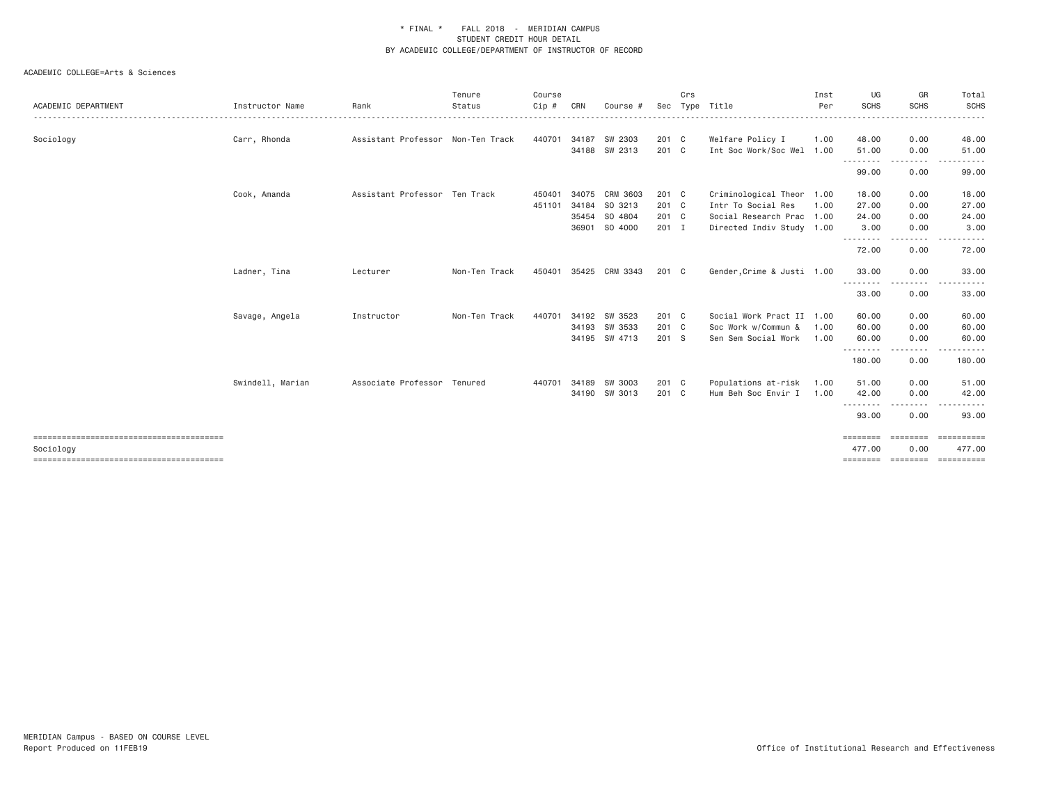|                     |                  |                                   | Tenure        | Course |       |                       |         | Crs |                            | Inst | UG          | GR                    | Total             |
|---------------------|------------------|-----------------------------------|---------------|--------|-------|-----------------------|---------|-----|----------------------------|------|-------------|-----------------------|-------------------|
| ACADEMIC DEPARTMENT | Instructor Name  | Rank                              | Status        | Cip #  | CRN   | Course #              | Sec     |     | Type Title                 | Per  | <b>SCHS</b> | <b>SCHS</b>           | <b>SCHS</b>       |
| Sociology           | Carr, Rhonda     | Assistant Professor Non-Ten Track |               | 440701 | 34187 | SW 2303               | 201 C   |     | Welfare Policy I           | 1.00 | 48.00       | 0.00                  | 48.00             |
|                     |                  |                                   |               |        | 34188 | SW 2313               | 201 C   |     | Int Soc Work/Soc Wel 1.00  |      | 51.00       | 0.00                  | 51.00             |
|                     |                  |                                   |               |        |       |                       |         |     |                            |      | .<br>99.00  | 0.00                  | 99.00             |
|                     | Cook, Amanda     | Assistant Professor Ten Track     |               | 450401 | 34075 | CRM 3603              | 201 C   |     | Criminological Theor 1.00  |      | 18.00       | 0.00                  | 18.00             |
|                     |                  |                                   |               | 451101 | 34184 | SO 3213               | 201 C   |     | Intr To Social Res         | 1.00 | 27.00       | 0.00                  | 27.00             |
|                     |                  |                                   |               |        | 35454 | SO 4804               | 201 C   |     | Social Research Prac 1.00  |      | 24.00       | 0.00                  | 24.00             |
|                     |                  |                                   |               |        | 36901 | SO 4000               | $201$ I |     | Directed Indiv Study 1.00  |      | 3.00        | 0.00<br>.             | 3.00              |
|                     |                  |                                   |               |        |       |                       |         |     |                            |      | 72.00       | 0.00                  | 72.00             |
|                     | Ladner, Tina     | Lecturer                          | Non-Ten Track |        |       | 450401 35425 CRM 3343 | 201 C   |     | Gender, Crime & Justi 1.00 |      | 33.00       | 0.00                  | 33.00             |
|                     |                  |                                   |               |        |       |                       |         |     |                            |      | .<br>33.00  | $\frac{1}{2}$<br>0.00 | 33.00             |
|                     | Savage, Angela   | Instructor                        | Non-Ten Track | 440701 | 34192 | SW 3523               | 201 C   |     | Social Work Pract II 1.00  |      | 60.00       | 0.00                  | 60.00             |
|                     |                  |                                   |               |        |       | 34193 SW 3533         | 201 C   |     | Soc Work w/Commun &        | 1.00 | 60.00       | 0.00                  | 60.00             |
|                     |                  |                                   |               |        |       | 34195 SW 4713         | 201 S   |     | Sen Sem Social Work        | 1.00 | 60.00       | 0.00                  | 60.00             |
|                     |                  |                                   |               |        |       |                       |         |     |                            |      | 180.00      | .<br>0.00             | .<br>180.00       |
|                     | Swindell, Marian | Associate Professor Tenured       |               | 440701 | 34189 | SW 3003               | 201 C   |     | Populations at-risk        | 1.00 | 51.00       | 0.00                  | 51.00             |
|                     |                  |                                   |               |        |       | 34190 SW 3013         | 201 C   |     | Hum Beh Soc Envir I        | 1,00 | 42.00       | 0.00                  | 42.00             |
|                     |                  |                                   |               |        |       |                       |         |     |                            |      | .           | . <b>.</b> .          |                   |
|                     |                  |                                   |               |        |       |                       |         |     |                            |      | 93.00       | 0.00                  | 93.00             |
|                     |                  |                                   |               |        |       |                       |         |     |                            |      | ========    | ========              | $= 2000000000000$ |
| Sociology           |                  |                                   |               |        |       |                       |         |     |                            |      | 477.00      | 0.00                  | 477.00            |
|                     |                  |                                   |               |        |       |                       |         |     |                            |      |             |                       |                   |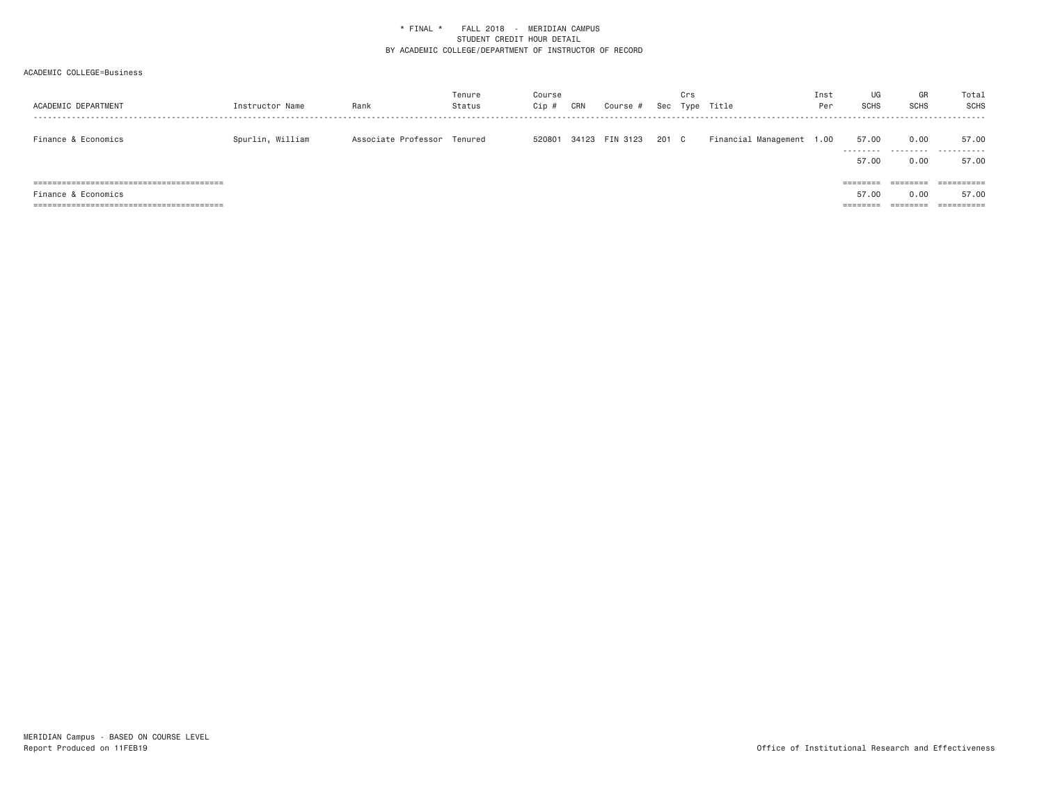| ACADEMIC DEPARTMENT                                            | Instructor Name  | Rank                        | Tenure<br>Status | Course<br>Cip # | CRN | Course #       |       | Crs | Sec Type Title            | Inst<br>Per | UG<br><b>SCHS</b>                      | GR<br><b>SCHS</b>            | Total<br><b>SCHS</b>                         |
|----------------------------------------------------------------|------------------|-----------------------------|------------------|-----------------|-----|----------------|-------|-----|---------------------------|-------------|----------------------------------------|------------------------------|----------------------------------------------|
| Finance & Economics                                            | Spurlin, William | Associate Professor Tenured |                  | 520801          |     | 34123 FIN 3123 | 201 C |     | Financial Management 1.00 |             | 57.00<br>.<br>57.00                    | 0.00<br>0.00                 | 57.00<br><br>57.00                           |
| Finance & Economics<br>==============================<br>===== |                  |                             |                  |                 |     |                |       |     |                           |             | --------<br>--------<br>57.00<br>===== | --------<br>--------<br>0.00 | ==========<br>57.00<br>$=$ = = = = = = = = = |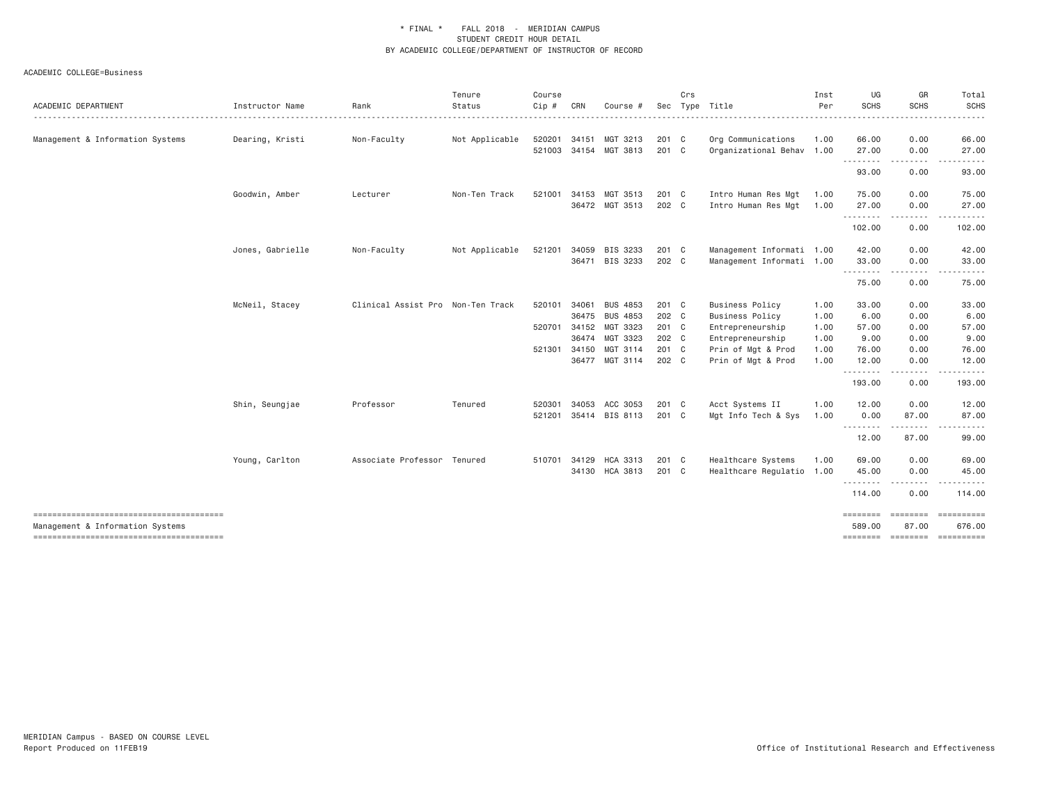|                                  |                  |                                   | Tenure         | Course |              |                       |               | Crs |                           | Inst | UG                | GR                                     | Total       |
|----------------------------------|------------------|-----------------------------------|----------------|--------|--------------|-----------------------|---------------|-----|---------------------------|------|-------------------|----------------------------------------|-------------|
| ACADEMIC DEPARTMENT              | Instructor Name  | Rank                              | Status         | Cip #  | CRN          | Course                |               |     | Sec Type Title            | Per  | <b>SCHS</b>       | <b>SCHS</b>                            | SCHS        |
| Management & Information Systems | Dearing, Kristi  | Non-Faculty                       | Not Applicable | 520201 | 34151        | MGT 3213              | 201 C         |     | Org Communications        | 1.00 | 66.00             | 0.00                                   | 66.00       |
|                                  |                  |                                   |                |        |              | 521003 34154 MGT 3813 | 201 C         |     | Organizational Behav 1.00 |      | 27.00             | 0.00                                   | 27.00       |
|                                  |                  |                                   |                |        |              |                       |               |     |                           |      | <u>.</u><br>93.00 | --------<br>0.00                       | .<br>93.00  |
|                                  | Goodwin, Amber   | Lecturer                          | Non-Ten Track  | 521001 |              | 34153 MGT 3513        | 201 C         |     | Intro Human Res Mgt       | 1.00 | 75.00             | 0.00                                   | 75.00       |
|                                  |                  |                                   |                |        |              | 36472 MGT 3513        | 202 C         |     | Intro Human Res Mgt       | 1.00 | 27.00             | 0.00                                   | 27.00       |
|                                  |                  |                                   |                |        |              |                       |               |     |                           |      | .<br>102.00       | $- - - -$<br>0.00                      | 102.00      |
|                                  | Jones, Gabrielle | Non-Faculty                       | Not Applicable | 521201 |              | 34059 BIS 3233        | 201 C         |     | Management Informati 1.00 |      | 42.00             | 0.00                                   | 42.00       |
|                                  |                  |                                   |                |        |              | 36471 BIS 3233        | 202 C         |     | Management Informati 1.00 |      | 33.00             | 0.00                                   | 33.00       |
|                                  |                  |                                   |                |        |              |                       |               |     |                           |      | .<br>75.00        | -----<br>0.00                          | 75.00       |
|                                  | McNeil, Stacey   | Clinical Assist Pro Non-Ten Track |                | 520101 | 34061        | <b>BUS 4853</b>       | 201 C         |     | <b>Business Policy</b>    | 1.00 | 33.00             | 0.00                                   | 33.00       |
|                                  |                  |                                   |                |        | 36475        | <b>BUS 4853</b>       | 202 C         |     | <b>Business Policy</b>    | 1.00 | 6.00              | 0.00                                   | 6.00        |
|                                  |                  |                                   |                | 520701 |              | 34152 MGT 3323        | 201 C         |     | Entrepreneurship          | 1.00 | 57.00             | 0.00                                   | 57.00       |
|                                  |                  |                                   |                |        |              | 36474 MGT 3323        | 202 C         |     | Entrepreneurship          | 1.00 | 9.00              | 0.00                                   | 9.00        |
|                                  |                  |                                   |                |        | 521301 34150 | MGT 3114              | 201 C         |     | Prin of Mgt & Prod        | 1.00 | 76.00             | 0.00                                   | 76.00       |
|                                  |                  |                                   |                |        |              | 36477 MGT 3114        | 202 C         |     | Prin of Mgt & Prod        | 1.00 | 12.00             | 0.00                                   | 12.00       |
|                                  |                  |                                   |                |        |              |                       |               |     |                           |      | .<br>193.00       | -----<br>0.00                          | .<br>193.00 |
|                                  | Shin, Seungjae   | Professor                         | Tenured        | 520301 | 34053        | ACC 3053              | 201 C         |     | Acct Systems II           | 1.00 | 12.00             | 0.00                                   | 12.00       |
|                                  |                  |                                   |                | 521201 |              | 35414 BIS 8113        | 201 C         |     | Mgt Info Tech & Sys       | 1.00 | 0.00              | 87.00                                  | 87.00       |
|                                  |                  |                                   |                |        |              |                       |               |     |                           |      | .<br>12.00        | <b><i><u><u>.</u></u></i></b><br>87.00 | 99.00       |
|                                  | Young, Carlton   | Associate Professor Tenured       |                | 510701 |              | 34129 HCA 3313        | $201 \quad C$ |     | Healthcare Systems        | 1.00 | 69,00             | 0.00                                   | 69.00       |
|                                  |                  |                                   |                |        |              | 34130 HCA 3813        | 201 C         |     | Healthcare Regulatio 1.00 |      | 45.00<br>.        | 0.00<br><u>.</u>                       | 45.00<br>.  |
|                                  |                  |                                   |                |        |              |                       |               |     |                           |      | 114.00            | 0.00                                   | 114.00      |
| Management & Information Systems |                  |                                   |                |        |              |                       |               |     |                           |      | 589.00            | ===================<br>87.00           | 676.00      |
|                                  |                  |                                   |                |        |              |                       |               |     |                           |      |                   | ==============================         |             |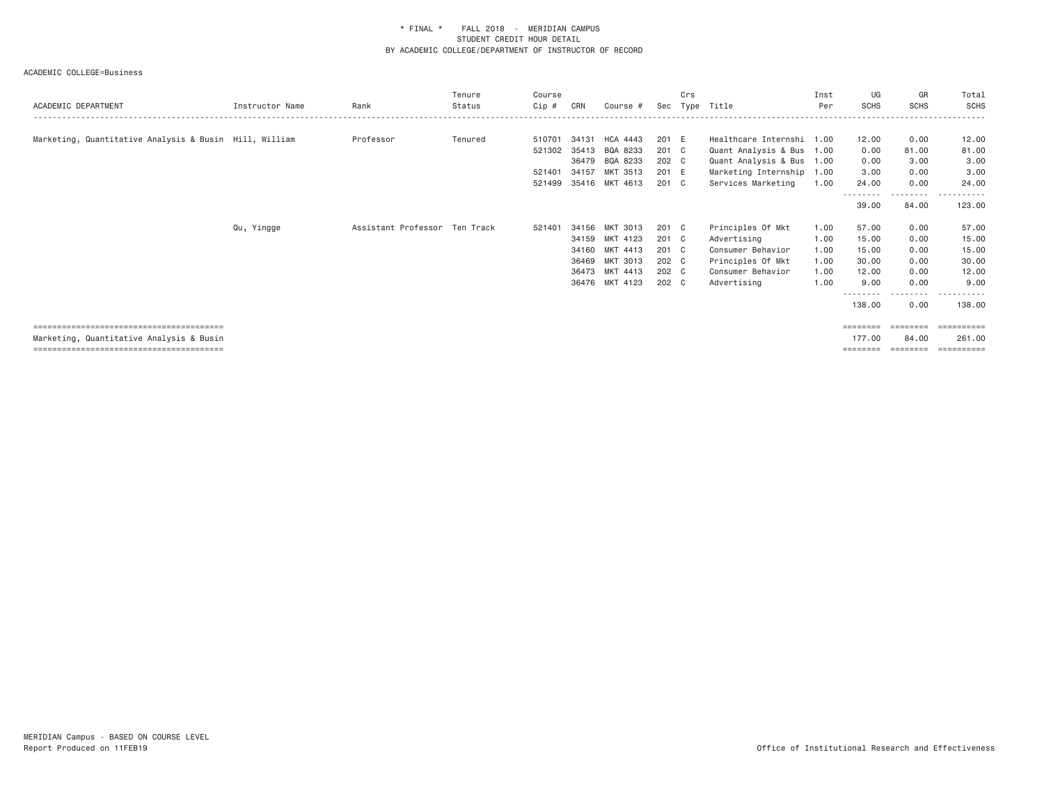| ACADEMIC DEPARTMENT                                    | Instructor Name | Rank                          | Tenure<br>Status | Course<br>Cip # | CRN   | Course #        | Sec   | Crs | Type Title                | Inst<br>Per | UG<br><b>SCHS</b> | GR<br><b>SCHS</b>          | Total<br><b>SCHS</b> |
|--------------------------------------------------------|-----------------|-------------------------------|------------------|-----------------|-------|-----------------|-------|-----|---------------------------|-------------|-------------------|----------------------------|----------------------|
|                                                        |                 |                               |                  |                 |       |                 |       |     |                           |             |                   |                            |                      |
| Marketing, Quantitative Analysis & Busin Hill, William |                 | Professor                     | Tenured          | 510701          | 34131 | <b>HCA 4443</b> | 201 E |     | Healthcare Internshi 1.00 |             | 12.00             | 0.00                       | 12.00                |
|                                                        |                 |                               |                  | 521302          | 35413 | BQA 8233        | 201 C |     | Quant Analysis & Bus 1.00 |             | 0.00              | 81.00                      | 81.00                |
|                                                        |                 |                               |                  |                 | 36479 | BQA 8233        | 202 C |     | Quant Analysis & Bus 1.00 |             | 0.00              | 3.00                       | 3.00                 |
|                                                        |                 |                               |                  | 521401          | 34157 | MKT 3513        | 201 E |     | Marketing Internship 1.00 |             | 3.00              | 0.00                       | 3.00                 |
|                                                        |                 |                               |                  | 521499          |       | 35416 MKT 4613  | 201 C |     | Services Marketing        | 1.00        | 24.00             | 0.00                       | 24.00                |
|                                                        |                 |                               |                  |                 |       |                 |       |     |                           |             | 39.00             | - - - - - - - - -<br>84.00 | .<br>----<br>123.00  |
|                                                        | Qu, Yingge      | Assistant Professor Ten Track |                  | 521401          | 34156 | MKT 3013        | 201 C |     | Principles Of Mkt         | 1.00        | 57.00             | 0.00                       | 57.00                |
|                                                        |                 |                               |                  |                 | 34159 | MKT 4123        | 201 C |     | Advertising               | 1.00        | 15.00             | 0.00                       | 15.00                |
|                                                        |                 |                               |                  |                 | 34160 | MKT 4413        | 201 C |     | Consumer Behavior         | 1.00        | 15.00             | 0.00                       | 15.00                |
|                                                        |                 |                               |                  |                 | 36469 | MKT 3013        | 202 C |     | Principles Of Mkt         | 1.00        | 30.00             | 0.00                       | 30.00                |
|                                                        |                 |                               |                  |                 | 36473 | MKT 4413        | 202 C |     | Consumer Behavior         | 1.00        | 12.00             | 0.00                       | 12.00                |
|                                                        |                 |                               |                  |                 |       | 36476 MKT 4123  | 202 C |     | Advertising               | 1.00        | 9.00              | 0.00                       | 9.00                 |
|                                                        |                 |                               |                  |                 |       |                 |       |     |                           |             | 138.00            | .<br>0.00                  | 138.00               |
|                                                        |                 |                               |                  |                 |       |                 |       |     |                           |             | $=$ = = = = = = = | ========                   | ==========           |
| Marketing, Quantitative Analysis & Busin               |                 |                               |                  |                 |       |                 |       |     |                           |             | 177.00            | 84.00                      | 261.00               |
|                                                        |                 |                               |                  |                 |       |                 |       |     |                           |             | ========          | ---------                  | -----------          |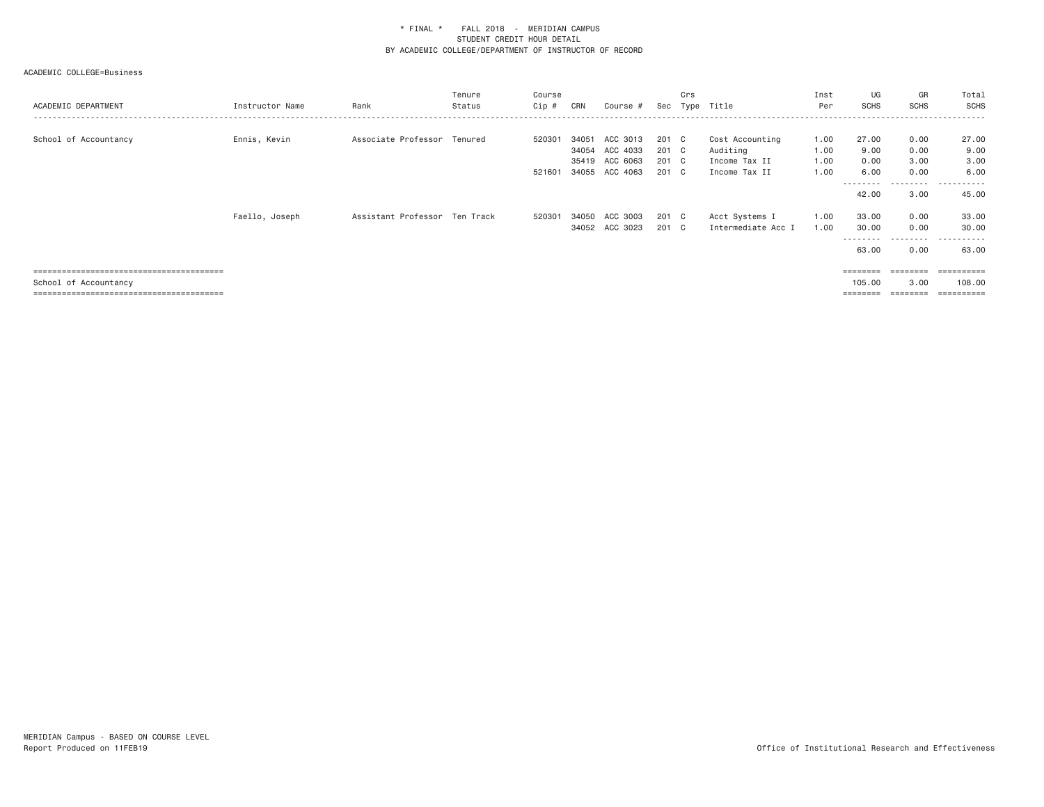| ACADEMIC DEPARTMENT   | Instructor Name | Rank                          | Tenure<br>Status | Course<br>Cip #  | CRN            | Course #                                                 | Sec                              | Crs          | Type Title                                                    | Inst<br>Per                  | UG<br><b>SCHS</b>                    | GR<br><b>SCHS</b>              | Total<br><b>SCHS</b>                                       |
|-----------------------|-----------------|-------------------------------|------------------|------------------|----------------|----------------------------------------------------------|----------------------------------|--------------|---------------------------------------------------------------|------------------------------|--------------------------------------|--------------------------------|------------------------------------------------------------|
| School of Accountancy | Ennis, Kevin    | Associate Professor Tenured   |                  | 520301<br>521601 | 34051<br>35419 | ACC 3013<br>34054 ACC 4033<br>ACC 6063<br>34055 ACC 4063 | 201 C<br>201 C<br>201 C<br>201 C |              | Cost Accounting<br>Auditing<br>Income Tax II<br>Income Tax II | 1.00<br>1.00<br>1.00<br>1.00 | 27.00<br>9.00<br>0.00<br>6,00        | 0.00<br>0.00<br>3.00<br>0.00   | 27.00<br>9.00<br>3.00<br>6.00                              |
|                       | Faello, Joseph  | Assistant Professor Ten Track |                  | 520301           | 34050          | ACC 3003<br>34052 ACC 3023                               | 201<br>201 C                     | $\mathbf{C}$ | Acct Systems I<br>Intermediate Acc I                          | 1.00<br>1.00                 | 42.00<br>33.00<br>30.00              | ------<br>3.00<br>0.00<br>0.00 | ----------<br>45.00<br>33.00<br>30.00                      |
|                       |                 |                               |                  |                  |                |                                                          |                                  |              |                                                               |                              | 63.00                                | ---------<br>0.00              | . <u>.</u><br>$\sim$ $\sim$ $\sim$ $\sim$<br>63.00         |
| School of Accountancy |                 |                               |                  |                  |                |                                                          |                                  |              |                                                               |                              | <b>BERBERE</b><br>105,00<br>======== | 3.00<br>========               | $=$ = = = = = = = = =<br>108,00<br>$=$ = = = = = = = = = = |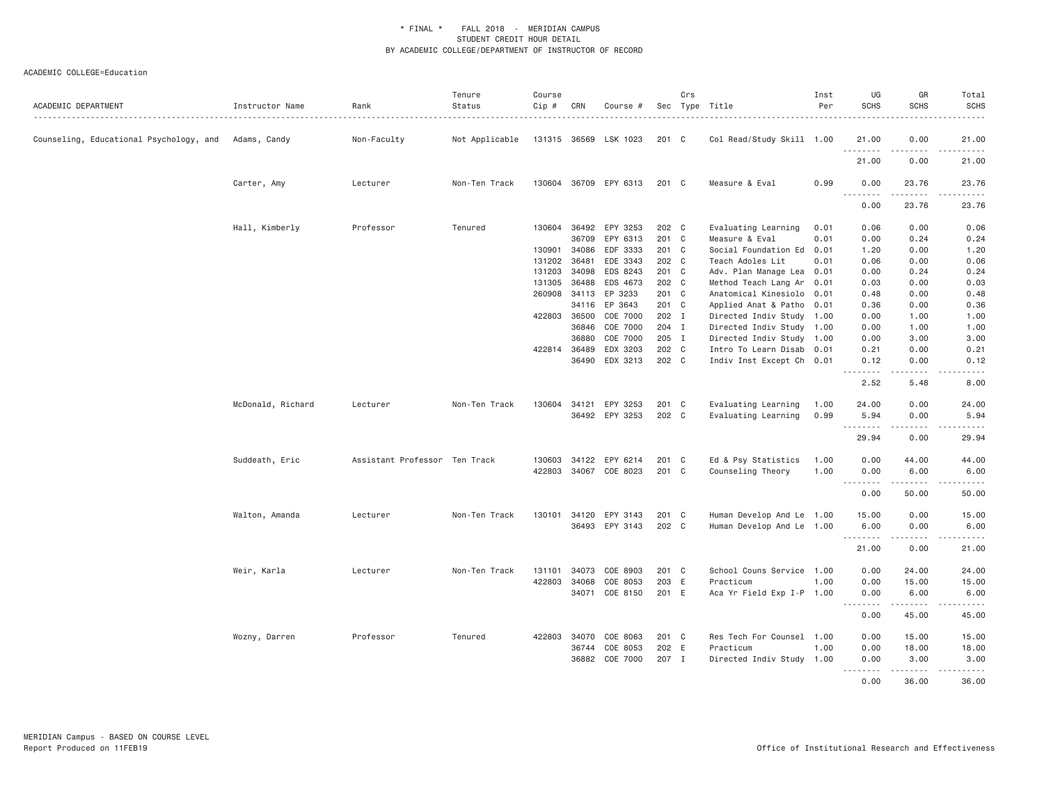| ACADEMIC DEPARTMENT                                  | Instructor Name   | Rank                          | Tenure<br>Status | Course<br>$Cip \#$ | CRN   | Course #              |                | Crs | Sec Type Title                        | Inst<br>Per  | UG<br><b>SCHS</b> | GR<br><b>SCHS</b>     | Total<br><b>SCHS</b><br>$- - - - -$         |
|------------------------------------------------------|-------------------|-------------------------------|------------------|--------------------|-------|-----------------------|----------------|-----|---------------------------------------|--------------|-------------------|-----------------------|---------------------------------------------|
| Counseling, Educational Psychology, and Adams, Candy |                   | Non-Faculty                   | Not Applicable   | 131315 36569       |       | LSK 1023              | 201 C          |     | Col Read/Study Skill 1.00             |              | 21.00             | 0.00<br>.             | 21.00                                       |
|                                                      |                   |                               |                  |                    |       |                       |                |     |                                       |              | .<br>21.00        | 0.00                  | .<br>21.00                                  |
|                                                      | Carter, Amy       | Lecturer                      | Non-Ten Track    |                    |       | 130604 36709 EPY 6313 | 201 C          |     | Measure & Eval                        | 0.99         | 0.00<br>.         | 23.76<br>الدامات مالك | 23.76<br>.                                  |
|                                                      |                   |                               |                  |                    |       |                       |                |     |                                       |              | 0.00              | 23.76                 | 23.76                                       |
|                                                      | Hall, Kimberly    | Professor                     | Tenured          | 130604 36492       | 36709 | EPY 3253<br>EPY 6313  | 202 C<br>201 C |     | Evaluating Learning<br>Measure & Eval | 0.01<br>0.01 | 0.06<br>0.00      | 0.00<br>0.24          | 0.06<br>0.24                                |
|                                                      |                   |                               |                  | 130901             | 34086 | EDF 3333              | 201 C          |     | Social Foundation Ed 0.01             |              | 1.20              | 0.00                  | 1.20                                        |
|                                                      |                   |                               |                  |                    |       |                       |                |     |                                       |              |                   |                       |                                             |
|                                                      |                   |                               |                  | 131202             | 36481 | EDE 3343              | 202 C          |     | Teach Adoles Lit                      | 0.01         | 0.06              | 0.00                  | 0.06                                        |
|                                                      |                   |                               |                  | 131203             | 34098 | EDS 8243              | 201 C          |     | Adv. Plan Manage Lea 0.01             |              | 0.00              | 0.24                  | 0.24                                        |
|                                                      |                   |                               |                  | 131305             | 36488 | EDS 4673              | 202 C          |     | Method Teach Lang Ar 0.01             |              | 0.03              | 0.00                  | 0.03                                        |
|                                                      |                   |                               |                  | 260908             | 34113 | EP 3233               | 201 C          |     | Anatomical Kinesiolo 0.01             |              | 0.48              | 0.00                  | 0.48                                        |
|                                                      |                   |                               |                  |                    |       | 34116 EP 3643         | 201 C          |     | Applied Anat & Patho 0.01             |              | 0.36              | 0.00                  | 0.36                                        |
|                                                      |                   |                               |                  | 422803 36500       |       | COE 7000              | 202 I          |     | Directed Indiv Study 1.00             |              | 0.00              | 1.00                  | 1.00                                        |
|                                                      |                   |                               |                  |                    | 36846 | COE 7000              | 204 I          |     | Directed Indiv Study 1.00             |              | 0.00              | 1.00                  | 1.00                                        |
|                                                      |                   |                               |                  |                    | 36880 | COE 7000              | 205 I          |     | Directed Indiv Study 1.00             |              | 0.00              | 3.00                  | 3.00                                        |
|                                                      |                   |                               |                  | 422814 36489       |       | EDX 3203              | 202 C          |     | Intro To Learn Disab 0.01             |              | 0.21              | 0.00                  | 0.21                                        |
|                                                      |                   |                               |                  |                    | 36490 | EDX 3213              | 202 C          |     | Indiv Inst Except Ch 0.01             |              | 0.12<br>.         | 0.00<br>.             | 0.12<br>-----                               |
|                                                      |                   |                               |                  |                    |       |                       |                |     |                                       |              | 2.52              | 5.48                  | 8.00                                        |
|                                                      | McDonald, Richard | Lecturer                      | Non-Ten Track    | 130604             | 34121 | EPY 3253              | 201 C          |     | Evaluating Learning                   | 1.00         | 24.00             | 0.00                  | 24.00                                       |
|                                                      |                   |                               |                  |                    |       | 36492 EPY 3253        | 202 C          |     | Evaluating Learning                   | 0.99         | 5.94              | 0.00                  | 5.94                                        |
|                                                      |                   |                               |                  |                    |       |                       |                |     |                                       |              | .<br>29.94        | .<br>0.00             | $\sim$ $\sim$ $\sim$ $\sim$ $\sim$<br>29.94 |
|                                                      | Suddeath, Eric    | Assistant Professor Ten Track |                  | 130603             | 34122 | EPY 6214              | 201 C          |     | Ed & Psy Statistics                   | 1.00         | 0.00              | 44.00                 | 44.00                                       |
|                                                      |                   |                               |                  | 422803             |       | 34067 COE 8023        | 201 C          |     | Counseling Theory                     | 1.00         | 0.00              | 6.00                  | 6.00                                        |
|                                                      |                   |                               |                  |                    |       |                       |                |     |                                       |              | .                 | .                     | .                                           |
|                                                      |                   |                               |                  |                    |       |                       |                |     |                                       |              | 0.00              | 50.00                 | 50.00                                       |
|                                                      |                   | Lecturer                      | Non-Ten Track    | 130101             | 34120 | EPY 3143              | 201 C          |     | Human Develop And Le 1.00             |              | 15.00             | 0.00                  | 15.00                                       |
|                                                      | Walton, Amanda    |                               |                  |                    |       |                       | 202 C          |     |                                       |              |                   |                       | 6.00                                        |
|                                                      |                   |                               |                  |                    |       | 36493 EPY 3143        |                |     | Human Develop And Le 1.00             |              | 6.00<br>.         | 0.00<br><b>.</b>      | .                                           |
|                                                      |                   |                               |                  |                    |       |                       |                |     |                                       |              | 21.00             | 0.00                  | 21.00                                       |
|                                                      | Weir, Karla       | Lecturer                      | Non-Ten Track    | 131101             | 34073 | COE 8903              | 201 C          |     | School Couns Service 1.00             |              | 0.00              | 24,00                 | 24.00                                       |
|                                                      |                   |                               |                  | 422803             | 34068 | COE 8053              | 203 E          |     | Practicum                             | 1.00         | 0.00              | 15.00                 | 15.00                                       |
|                                                      |                   |                               |                  |                    | 34071 | COE 8150              | 201 E          |     | Aca Yr Field Exp I-P 1.00             |              | 0.00              | 6.00                  | 6.00                                        |
|                                                      |                   |                               |                  |                    |       |                       |                |     |                                       |              | .                 | .                     | .                                           |
|                                                      |                   |                               |                  |                    |       |                       |                |     |                                       |              | 0.00              | 45.00                 | 45.00                                       |
|                                                      | Wozny, Darren     | Professor                     | Tenured          | 422803 34070       |       | COE 8063              | 201 C          |     | Res Tech For Counsel 1.00             |              | 0.00              | 15.00                 | 15.00                                       |
|                                                      |                   |                               |                  |                    | 36744 | COE 8053              | 202 E          |     | Practicum                             | 1.00         | 0.00              | 18.00                 | 18.00                                       |
|                                                      |                   |                               |                  |                    | 36882 | COE 7000              | 207 I          |     | Directed Indiv Study 1.00             |              | 0.00              | 3.00                  | 3.00                                        |
|                                                      |                   |                               |                  |                    |       |                       |                |     |                                       |              | .                 | <b></b>               | <u> - - - - - - - - - -</u>                 |
|                                                      |                   |                               |                  |                    |       |                       |                |     |                                       |              | 0.00              | 36.00                 | 36.00                                       |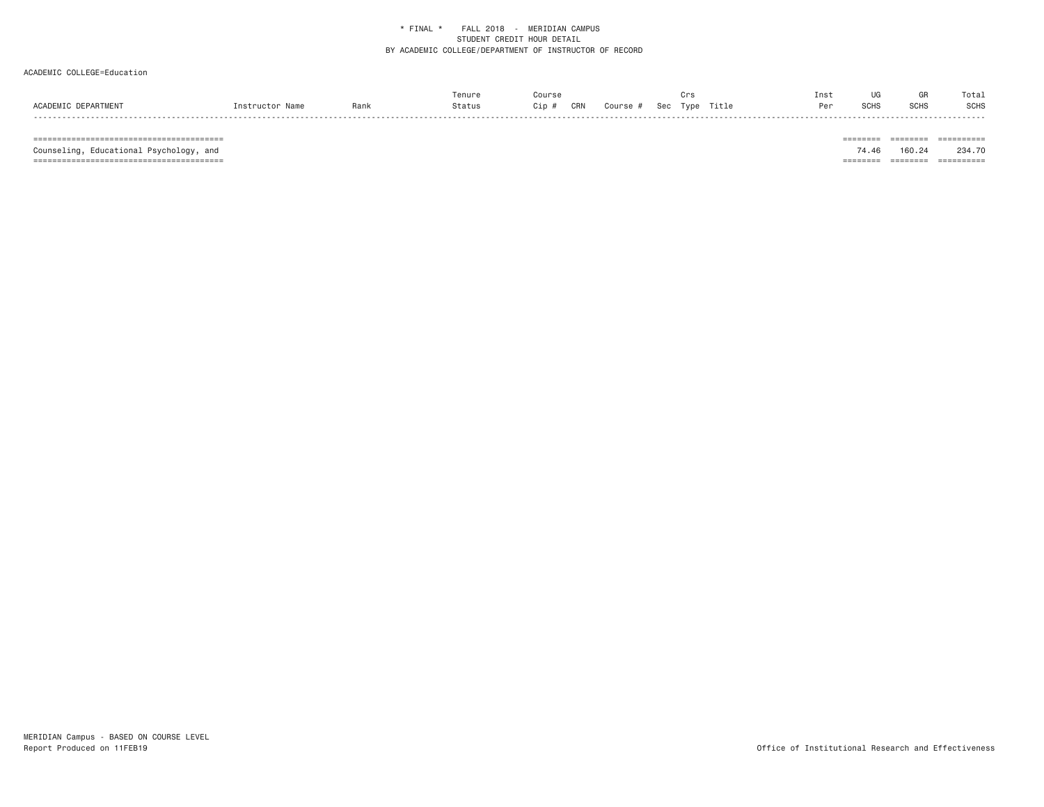# ACADEMIC COLLEGE=Education

|                     |                 |      | Tenure | Course                 |                   | Inst |      | GR          | Total       |
|---------------------|-----------------|------|--------|------------------------|-------------------|------|------|-------------|-------------|
| ACADEMIC DEPARTMENT | Instructor Name | Rank | Status | CRN<br>Cip<br>Course # | Type Title<br>Sec | Per  | SCHS | <b>SCHS</b> | <b>SCHS</b> |

======================================== ======== ======== ==========

======================================== ======== ======== ==========

 $\begin{tabular}{lllllllllllll} \multicolumn{2}{l}{{\color{red}{{\color{red}\boldsymbol{z}}}}\hspace{-0.08in}{{\color{blue}\boldsymbol{z}}}\hspace{-0.08in} & \multicolumn{2}{l}{\color{blue}\boldsymbol{z}}\hspace{-0.08in} & \multicolumn{2}{l}{\color{blue}\boldsymbol{z}}\hspace{-0.08in} & \multicolumn{2}{l}{\color{blue}\boldsymbol{z}}\hspace{-0.08in} & \multicolumn{2}{l}{\color{blue}\boldsymbol{z}}\hspace{-0.08in} & \multicolumn{2}{l}{\color{blue}\boldsymbol{z}}\hspace{-0.08$ Counseling, Educational Psychology, and 74.46 160.24 234.70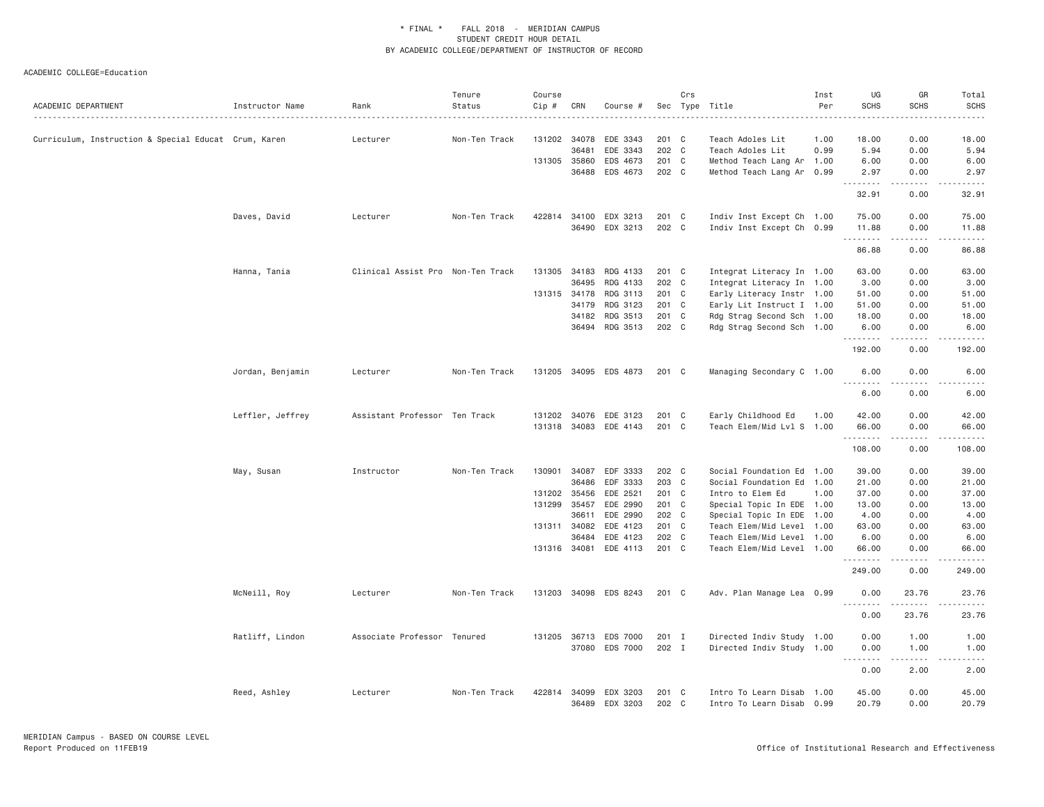| ACADEMIC DEPARTMENT                                  | Instructor Name  | Rank                              | Tenure<br>Status | Course<br>Cip # | CRN   | Course #              |         | Crs | Sec Type Title            | Inst<br>Per | UG<br><b>SCHS</b> | GR<br><b>SCHS</b> | Total<br><b>SCHS</b>                                                                                                                                                                    |
|------------------------------------------------------|------------------|-----------------------------------|------------------|-----------------|-------|-----------------------|---------|-----|---------------------------|-------------|-------------------|-------------------|-----------------------------------------------------------------------------------------------------------------------------------------------------------------------------------------|
| Curriculum, Instruction & Special Educat Crum, Karen |                  | Lecturer                          | Non-Ten Track    | 131202          | 34078 | EDE 3343              | 201 C   |     | Teach Adoles Lit          | 1.00        | 18.00             | 0.00              | 18.00                                                                                                                                                                                   |
|                                                      |                  |                                   |                  |                 | 36481 | EDE 3343              | 202 C   |     | Teach Adoles Lit          | 0.99        | 5.94              | 0.00              | 5.94                                                                                                                                                                                    |
|                                                      |                  |                                   |                  | 131305          | 35860 | EDS 4673              | 201 C   |     | Method Teach Lang Ar 1.00 |             | 6.00              | 0.00              | 6.00                                                                                                                                                                                    |
|                                                      |                  |                                   |                  |                 | 36488 | EDS 4673              | 202 C   |     | Method Teach Lang Ar 0.99 |             | 2.97<br>.         | 0.00<br>.         | 2.97<br>.                                                                                                                                                                               |
|                                                      |                  |                                   |                  |                 |       |                       |         |     |                           |             | 32.91             | 0.00              | 32.91                                                                                                                                                                                   |
|                                                      | Daves, David     | Lecturer                          | Non-Ten Track    |                 |       | 422814 34100 EDX 3213 | 201 C   |     | Indiv Inst Except Ch 1.00 |             | 75.00             | 0.00              | 75.00                                                                                                                                                                                   |
|                                                      |                  |                                   |                  |                 | 36490 | EDX 3213              | 202 C   |     | Indiv Inst Except Ch 0.99 |             | 11.88<br>.        | 0.00<br>المتمامين | 11.88<br>.                                                                                                                                                                              |
|                                                      |                  |                                   |                  |                 |       |                       |         |     |                           |             | 86.88             | 0.00              | 86.88                                                                                                                                                                                   |
|                                                      | Hanna, Tania     | Clinical Assist Pro Non-Ten Track |                  | 131305          | 34183 | RDG 4133              | 201 C   |     | Integrat Literacy In 1.00 |             | 63.00             | 0.00              | 63.00                                                                                                                                                                                   |
|                                                      |                  |                                   |                  |                 | 36495 | RDG 4133              | 202 C   |     | Integrat Literacy In 1.00 |             | 3.00              | 0.00              | 3.00                                                                                                                                                                                    |
|                                                      |                  |                                   |                  | 131315 34178    |       | RDG 3113              | 201 C   |     | Early Literacy Instr 1.00 |             | 51.00             | 0.00              | 51.00                                                                                                                                                                                   |
|                                                      |                  |                                   |                  |                 | 34179 | RDG 3123              | 201 C   |     | Early Lit Instruct I 1.00 |             | 51.00             | 0.00              | 51.00                                                                                                                                                                                   |
|                                                      |                  |                                   |                  |                 | 34182 | RDG 3513              | 201 C   |     | Rdg Strag Second Sch 1.00 |             | 18.00             | 0.00              | 18.00                                                                                                                                                                                   |
|                                                      |                  |                                   |                  |                 |       | 36494 RDG 3513        | 202 C   |     | Rdg Strag Second Sch 1.00 |             | 6.00<br>.         | 0.00<br>.         | 6.00<br>$\frac{1}{2} \left( \frac{1}{2} \right) \left( \frac{1}{2} \right) \left( \frac{1}{2} \right) \left( \frac{1}{2} \right) \left( \frac{1}{2} \right) \left( \frac{1}{2} \right)$ |
|                                                      |                  |                                   |                  |                 |       |                       |         |     |                           |             | 192.00            | 0.00              | 192.00                                                                                                                                                                                  |
|                                                      | Jordan, Benjamin | Lecturer                          | Non-Ten Track    |                 |       | 131205 34095 EDS 4873 | 201 C   |     | Managing Secondary C 1.00 |             | 6.00              | 0.00              | 6.00                                                                                                                                                                                    |
|                                                      |                  |                                   |                  |                 |       |                       |         |     |                           |             | 6.00              | 0.00              | 6.00                                                                                                                                                                                    |
|                                                      | Leffler, Jeffrey | Assistant Professor Ten Track     |                  |                 |       | 131202 34076 EDE 3123 | 201 C   |     | Early Childhood Ed        | 1.00        | 42.00             | 0.00              | 42.00                                                                                                                                                                                   |
|                                                      |                  |                                   |                  |                 |       | 131318 34083 EDE 4143 | 201 C   |     | Teach Elem/Mid Lvl S 1.00 |             | 66.00<br>.        | 0.00<br>.         | 66.00<br>.                                                                                                                                                                              |
|                                                      |                  |                                   |                  |                 |       |                       |         |     |                           |             | 108.00            | 0.00              | 108.00                                                                                                                                                                                  |
|                                                      | May, Susan       | Instructor                        | Non-Ten Track    | 130901          | 34087 | EDF 3333              | 202 C   |     | Social Foundation Ed 1.00 |             | 39.00             | 0.00              | 39.00                                                                                                                                                                                   |
|                                                      |                  |                                   |                  |                 | 36486 | EDF 3333              | 203 C   |     | Social Foundation Ed 1.00 |             | 21.00             | 0.00              | 21.00                                                                                                                                                                                   |
|                                                      |                  |                                   |                  | 131202 35456    |       | EDE 2521              | 201 C   |     | Intro to Elem Ed          | 1.00        | 37.00             | 0.00              | 37.00                                                                                                                                                                                   |
|                                                      |                  |                                   |                  | 131299          | 35457 | EDE 2990              | 201 C   |     | Special Topic In EDE 1.00 |             | 13.00             | 0.00              | 13.00                                                                                                                                                                                   |
|                                                      |                  |                                   |                  |                 | 36611 | EDE 2990              | 202 C   |     | Special Topic In EDE 1.00 |             | 4.00              | 0.00              | 4.00                                                                                                                                                                                    |
|                                                      |                  |                                   |                  | 131311 34082    |       | EDE 4123              | 201 C   |     | Teach Elem/Mid Level 1.00 |             | 63.00             | 0.00              | 63.00                                                                                                                                                                                   |
|                                                      |                  |                                   |                  |                 | 36484 | EDE 4123              | 202 C   |     | Teach Elem/Mid Level 1.00 |             | 6.00              | 0.00              | 6.00                                                                                                                                                                                    |
|                                                      |                  |                                   |                  |                 |       | 131316 34081 EDE 4113 | $201$ C |     | Teach Elem/Mid Level 1.00 |             | 66.00<br>.        | 0.00              | 66.00                                                                                                                                                                                   |
|                                                      |                  |                                   |                  |                 |       |                       |         |     |                           |             | 249.00            | 0.00              | .<br>249.00                                                                                                                                                                             |
|                                                      | McNeill, Roy     | Lecturer                          | Non-Ten Track    |                 |       | 131203 34098 EDS 8243 | 201 C   |     | Adv. Plan Manage Lea 0.99 |             | 0.00              | 23.76<br>.        | 23.76                                                                                                                                                                                   |
|                                                      |                  |                                   |                  |                 |       |                       |         |     |                           |             | <u>.</u><br>0.00  | 23.76             | 23.76                                                                                                                                                                                   |
|                                                      | Ratliff, Lindon  | Associate Professor Tenured       |                  | 131205          |       | 36713 EDS 7000        | 201 I   |     | Directed Indiv Study 1.00 |             | 0.00              | 1.00              | 1.00                                                                                                                                                                                    |
|                                                      |                  |                                   |                  |                 |       | 37080 EDS 7000        | 202 I   |     | Directed Indiv Study 1.00 |             | 0.00              | 1.00              | 1.00                                                                                                                                                                                    |
|                                                      |                  |                                   |                  |                 |       |                       |         |     |                           |             | .                 | .                 | .                                                                                                                                                                                       |
|                                                      |                  |                                   |                  |                 |       |                       |         |     |                           |             | 0.00              | 2.00              | 2.00                                                                                                                                                                                    |
|                                                      | Reed, Ashley     | Lecturer                          | Non-Ten Track    | 422814          | 34099 | EDX 3203              | 201 C   |     | Intro To Learn Disab      | 1.00        | 45.00             | 0.00              | 45.00                                                                                                                                                                                   |
|                                                      |                  |                                   |                  |                 |       | 36489 EDX 3203        | 202 C   |     | Intro To Learn Disab 0.99 |             | 20.79             | 0.00              | 20.79                                                                                                                                                                                   |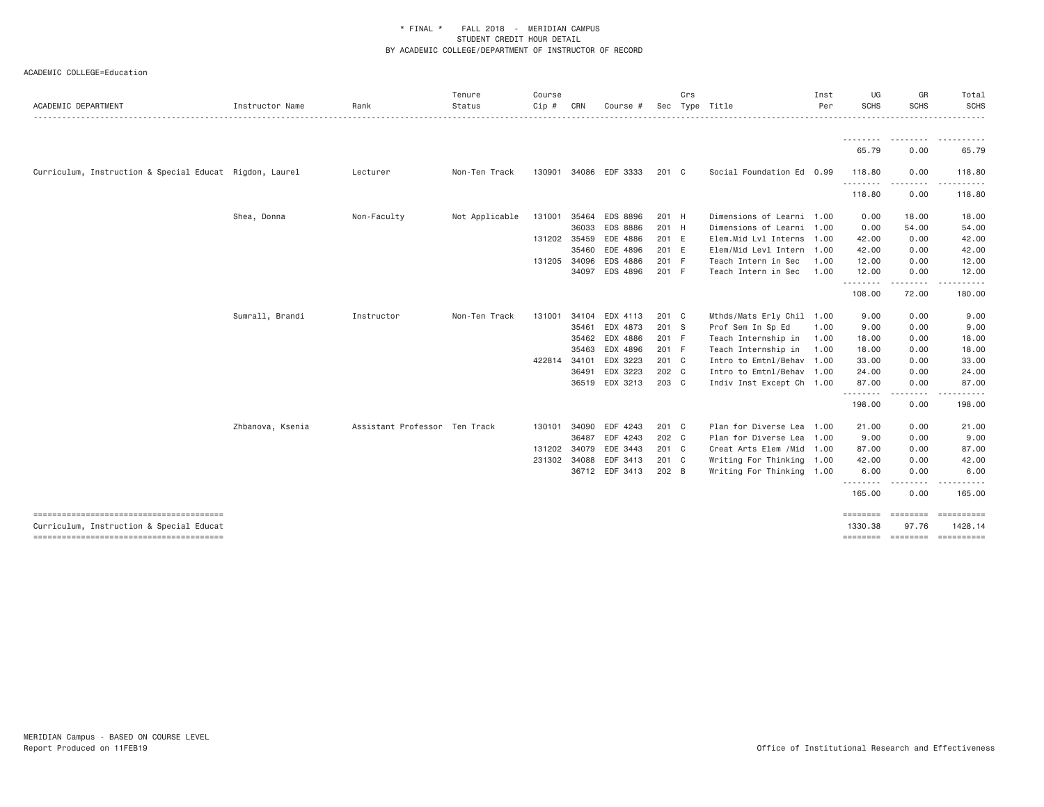| ACADEMIC DEPARTMENT                                     | Instructor Name  | Rank                          | Tenure<br>Status | Course<br>Cip # | CRN          | Course #              |               | Crs | Sec Type Title             | Inst<br>Per | UG<br><b>SCHS</b>   | GR<br><b>SCHS</b> | Total<br>SCHS               |
|---------------------------------------------------------|------------------|-------------------------------|------------------|-----------------|--------------|-----------------------|---------------|-----|----------------------------|-------------|---------------------|-------------------|-----------------------------|
|                                                         |                  |                               |                  |                 |              |                       |               |     |                            |             |                     |                   |                             |
|                                                         |                  |                               |                  |                 |              |                       |               |     |                            |             | 65.79               | 0.00              | 65.79                       |
| Curriculum, Instruction & Special Educat Rigdon, Laurel |                  | Lecturer                      | Non-Ten Track    |                 |              | 130901 34086 EDF 3333 | 201 C         |     | Social Foundation Ed 0.99  |             | 118.80              | 0.00              | 118.80                      |
|                                                         |                  |                               |                  |                 |              |                       |               |     |                            |             | .<br>118.80         | .<br>0.00         | 118.80                      |
|                                                         | Shea, Donna      | Non-Faculty                   | Not Applicable   | 131001          | 35464        | <b>EDS 8896</b>       | 201 H         |     | Dimensions of Learni 1.00  |             | 0.00                | 18.00             | 18.00                       |
|                                                         |                  |                               |                  |                 | 36033        | <b>EDS 8886</b>       | 201 H         |     | Dimensions of Learni 1.00  |             | 0.00                | 54.00             | 54.00                       |
|                                                         |                  |                               |                  |                 | 131202 35459 | EDE 4886              | 201 E         |     | Elem.Mid Lvl Interns 1.00  |             | 42.00               | 0.00              | 42.00                       |
|                                                         |                  |                               |                  |                 |              | 35460 EDE 4896        | 201 E         |     | Elem/Mid Levl Intern       | 1.00        | 42.00               | 0.00              | 42.00                       |
|                                                         |                  |                               |                  | 131205          | 34096        | EDS 4886              | 201 F         |     | Teach Intern in Sec        | 1,00        | 12.00               | 0.00              | 12.00                       |
|                                                         |                  |                               |                  |                 |              | 34097 EDS 4896        | 201 F         |     | Teach Intern in Sec        | 1.00        | 12.00<br>.          | 0.00<br>.         | 12.00                       |
|                                                         |                  |                               |                  |                 |              |                       |               |     |                            |             | 108.00              | 72.00             | 180.00                      |
|                                                         | Sumrall, Brandi  | Instructor                    | Non-Ten Track    | 131001          |              | 34104 EDX 4113        | 201 C         |     | Mthds/Mats Erly Chil 1.00  |             | 9.00                | 0.00              | 9.00                        |
|                                                         |                  |                               |                  |                 | 35461        | EDX 4873              | 201 S         |     | Prof Sem In Sp Ed          | 1.00        | 9.00                | 0.00              | 9.00                        |
|                                                         |                  |                               |                  |                 |              | 35462 EDX 4886        | 201 F         |     | Teach Internship in        | 1.00        | 18.00               | 0.00              | 18.00                       |
|                                                         |                  |                               |                  |                 | 35463        | EDX 4896              | 201 F         |     | Teach Internship in        | 1.00        | 18.00               | 0.00              | 18.00                       |
|                                                         |                  |                               |                  | 422814          |              | 34101 EDX 3223        | 201 C         |     | Intro to Emtnl/Behav 1.00  |             | 33.00               | 0.00              | 33.00                       |
|                                                         |                  |                               |                  |                 |              | 36491 EDX 3223        | 202 C         |     | Intro to Emtnl/Behav 1.00  |             | 24.00               | 0.00              | 24.00                       |
|                                                         |                  |                               |                  |                 |              | 36519 EDX 3213        | 203 C         |     | Indiv Inst Except Ch 1.00  |             | 87.00               | 0.00              | 87.00                       |
|                                                         |                  |                               |                  |                 |              |                       |               |     |                            |             | .<br>198.00         | -----<br>0.00     | 198.00                      |
|                                                         | Zhbanova, Ksenia | Assistant Professor Ten Track |                  | 130101          |              | 34090 EDF 4243        | $201 \quad C$ |     | Plan for Diverse Lea 1.00  |             | 21.00               | 0.00              | 21.00                       |
|                                                         |                  |                               |                  |                 | 36487        | EDF 4243              | 202 C         |     | Plan for Diverse Lea 1.00  |             | 9.00                | 0.00              | 9.00                        |
|                                                         |                  |                               |                  |                 |              | 131202 34079 EDE 3443 | 201 C         |     | Creat Arts Elem / Mid 1.00 |             | 87.00               | 0.00              | 87.00                       |
|                                                         |                  |                               |                  | 231302          |              | 34088 EDF 3413        | 201 C         |     | Writing For Thinking 1.00  |             | 42.00               | 0.00              | 42.00                       |
|                                                         |                  |                               |                  |                 |              | 36712 EDF 3413        | 202 B         |     | Writing For Thinking 1.00  |             | 6.00                | 0.00              | 6.00                        |
|                                                         |                  |                               |                  |                 |              |                       |               |     |                            |             | 165.00              | 0.00              | 165.00                      |
| Curriculum, Instruction & Special Educat                |                  |                               |                  |                 |              |                       |               |     |                            |             | ========<br>1330.38 | ========<br>97.76 | ==========<br>1428.14       |
|                                                         |                  |                               |                  |                 |              |                       |               |     |                            |             |                     |                   | ======== ======== ========= |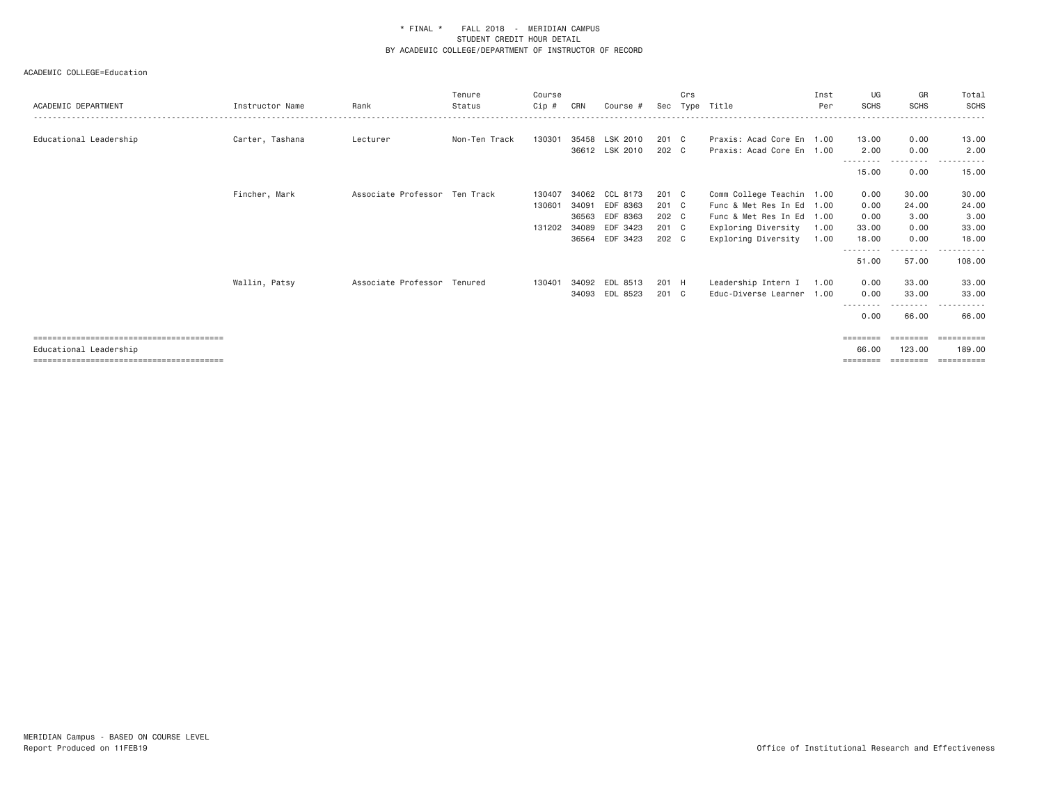| ACADEMIC DEPARTMENT    | Instructor Name | Rank                          | Tenure<br>Status | Course<br>Cip # | CRN   | Course #       | Sec   | Crs<br>Type | Title                     | Inst<br>Per | UG<br><b>SCHS</b> | GR<br><b>SCHS</b> | Total<br>SCHS       |
|------------------------|-----------------|-------------------------------|------------------|-----------------|-------|----------------|-------|-------------|---------------------------|-------------|-------------------|-------------------|---------------------|
|                        |                 |                               |                  |                 |       |                |       |             |                           |             |                   |                   |                     |
| Educational Leadership | Carter, Tashana | Lecturer                      | Non-Ten Track    | 130301          |       | 35458 LSK 2010 | 201 C |             | Praxis: Acad Core En 1.00 |             | 13.00             | 0.00              | 13.00               |
|                        |                 |                               |                  |                 |       | 36612 LSK 2010 | 202 C |             | Praxis: Acad Core En      | 1.00        | 2.00              | 0.00              | 2.00                |
|                        |                 |                               |                  |                 |       |                |       |             |                           |             | 15.00             | 0.00              | 15.00               |
|                        | Fincher, Mark   | Associate Professor Ten Track |                  | 130407          | 34062 | CCL 8173       | 201 C |             | Comm College Teachin      | 1.00        | 0.00              | 30.00             | 30.00               |
|                        |                 |                               |                  | 130601          | 34091 | EDF 8363       | 201 C |             | Func & Met Res In Ed      | 1.00        | 0.00              | 24.00             | 24.00               |
|                        |                 |                               |                  |                 | 36563 | EDF 8363       | 202 C |             | Func & Met Res In Ed      | 1.00        | 0.00              | 3,00              | 3.00                |
|                        |                 |                               |                  | 131202          | 34089 | EDF 3423       | 201 C |             | Exploring Diversity       | 1.00        | 33.00             | 0.00              | 33.00               |
|                        |                 |                               |                  |                 | 36564 | EDF 3423       | 202 C |             | Exploring Diversity       | 1.00        | 18.00             | 0.00              | 18.00               |
|                        |                 |                               |                  |                 |       |                |       |             |                           |             | 51.00             | ------<br>57.00   | 108.00              |
|                        | Wallin, Patsy   | Associate Professor Tenured   |                  | 130401          | 34092 | EDL 8513       | 201 H |             | Leadership Intern I       | 1.00        | 0.00              | 33.00             | 33.00               |
|                        |                 |                               |                  |                 | 34093 | EDL 8523       | 201 C |             | Educ-Diverse Learner      | 1.00        | 0.00              | 33,00             | 33.00               |
|                        |                 |                               |                  |                 |       |                |       |             |                           |             | --------<br>0.00  | -----<br>66.00    | . <u>.</u><br>66.00 |
|                        |                 |                               |                  |                 |       |                |       |             |                           |             | $=$ = = = = = = = | ========          | ___________         |
| Educational Leadership |                 |                               |                  |                 |       |                |       |             |                           |             | 66,00             | 123,00            | 189,00              |
|                        |                 |                               |                  |                 |       |                |       |             |                           |             | ========          | ========          | ___________         |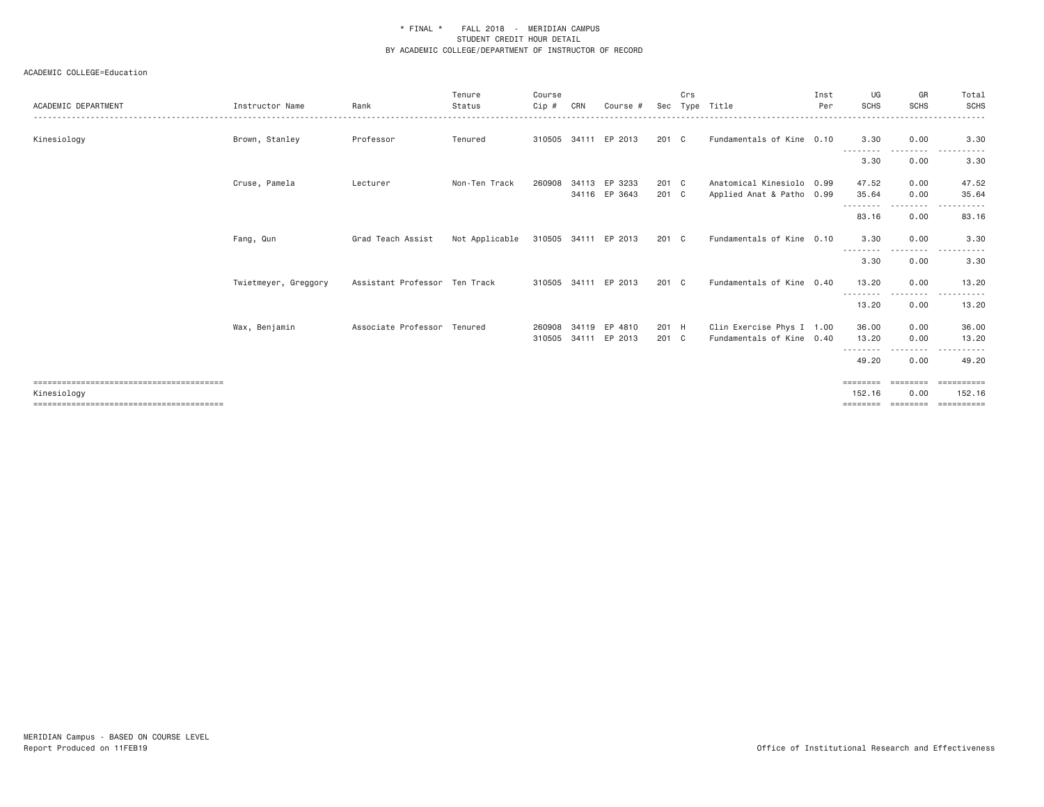| ACADEMIC DEPARTMENT | Instructor Name      | Rank                          | Tenure<br>Status | Course<br>Cip #  | CRN | Course #                       |                        | Crs | Sec Type Title                                         | Inst<br>Per | UG<br><b>SCHS</b>              | GR<br><b>SCHS</b> | Total<br>SCHS         |
|---------------------|----------------------|-------------------------------|------------------|------------------|-----|--------------------------------|------------------------|-----|--------------------------------------------------------|-------------|--------------------------------|-------------------|-----------------------|
| Kinesiology         | Brown, Stanley       | Professor                     | Tenured          |                  |     | 310505 34111 EP 2013           | $201 \quad C$          |     | Fundamentals of Kine 0.10                              |             | 3.30                           | 0.00              | 3.30                  |
|                     |                      |                               |                  |                  |     |                                |                        |     |                                                        |             | 3.30                           | 0.00              | . <u>.</u><br>3.30    |
|                     | Cruse, Pamela        | Lecturer                      | Non-Ten Track    | 260908           |     | 34113 EP 3233<br>34116 EP 3643 | 201 C<br>$201 \quad C$ |     | Anatomical Kinesiolo 0.99<br>Applied Anat & Patho 0.99 |             | 47.52<br>35.64                 | 0.00<br>0.00      | 47.52<br>35.64        |
|                     |                      |                               |                  |                  |     |                                |                        |     |                                                        |             | .<br>83.16                     | ---------<br>0.00 | 83.16                 |
|                     | Fang, Qun            | Grad Teach Assist             | Not Applicable   |                  |     | 310505 34111 EP 2013           | $201 \quad C$          |     | Fundamentals of Kine 0.10                              |             | 3.30<br>---------              | 0.00<br>.         | 3.30<br>$- - -$       |
|                     |                      |                               |                  |                  |     |                                |                        |     |                                                        |             | 3.30                           | 0.00              | 3.30                  |
|                     | Twietmeyer, Greggory | Assistant Professor Ten Track |                  |                  |     | 310505 34111 EP 2013           | $201 \quad C$          |     | Fundamentals of Kine 0.40                              |             | 13,20<br>.                     | 0.00<br>.         | 13.20                 |
|                     |                      |                               |                  |                  |     |                                |                        |     |                                                        |             | 13.20                          | 0.00              | 13.20                 |
|                     | Wax, Benjamin        | Associate Professor Tenured   |                  | 260908<br>310505 |     | 34119 EP 4810<br>34111 EP 2013 | 201 H<br>201 C         |     | Clin Exercise Phys I 1.00<br>Fundamentals of Kine 0.40 |             | 36.00<br>13,20                 | 0.00<br>0.00      | 36.00<br>13.20        |
|                     |                      |                               |                  |                  |     |                                |                        |     |                                                        |             | .<br>49.20                     | --------<br>0.00  | .<br>49.20            |
| Kinesiology         |                      |                               |                  |                  |     |                                |                        |     |                                                        |             | ========<br>152.16<br>======== | 0.00<br>========  | 152.16<br>----------- |